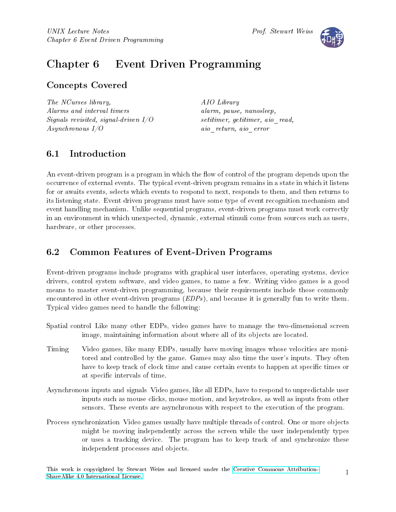

## Chapter 6 Event Driven Programming

## Concepts Covered

The NCurses library, Alarms and interval timers Signals revisited, signal-driven I/O Asynchronous I/O

AIO Library alarm, pause, nanosleep, setitimer, getitimer, aio\_read, aio\_return, aio\_error

## 6.1 Introduction

An event-driven program is a program in which the flow of control of the program depends upon the occurrence of external events. The typical event-driven program remains in a state in which it listens for or awaits events, selects which events to respond to next, responds to them, and then returns to its listening state. Event driven programs must have some type of event recognition mechanism and event handling mechanism. Unlike sequential programs, event-driven programs must work correctly in an environment in which unexpected, dynamic, external stimuli come from sources such as users, hardware, or other processes.

## 6.2 Common Features of Event-Driven Programs

Event-driven programs include programs with graphical user interfaces, operating systems, device drivers, control system software, and video games, to name a few. Writing video games is a good means to master event-driven programming, because their requirements include those commonly encountered in other event-driven programs (*EDPs*), and because it is generally fun to write them. Typical video games need to handle the following:

- Spatial control Like many other EDPs, video games have to manage the two-dimensional screen image, maintaining information about where all of its objects are located.
- Timing Video games, like many EDPs, usually have moving images whose velocities are monitored and controlled by the game. Games may also time the user's inputs. They often have to keep track of clock time and cause certain events to happen at specific times or at specific intervals of time.
- Asynchronous inputs and signals Video games, like all EDPs, have to respond to unpredictable user inputs such as mouse clicks, mouse motion, and keystrokes, as well as inputs from other sensors. These events are asynchronous with respect to the execution of the program.
- Process synchronization Video games usually have multiple threads of control. One or more objects might be moving independently across the screen while the user independently types or uses a tracking device. The program has to keep track of and synchronize these independent processes and objects.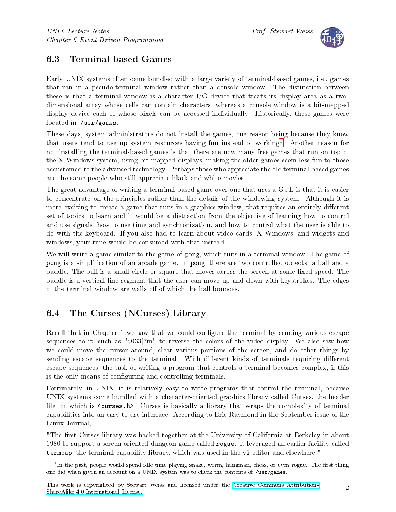

## 6.3 Terminal-based Games

Early UNIX systems often came bundled with a large variety of terminal-based games, i.e., games that ran in a pseudo-terminal window rather than a console window. The distinction between these is that a terminal window is a character  $I/O$  device that treats its display area as a twodimensional array whose cells can contain characters, whereas a console window is a bit-mapped display device each of whose pixels can be accessed individually. Historically, these games were located in /usr/games.

These days, system administrators do not install the games, one reason being because they know that users tend to use up system resources having fun instead of working<sup>[1](#page-1-0)</sup>. Another reason for not installing the terminal-based games is that there are now many free games that run on top of the X Windows system, using bit-mapped displays, making the older games seem less fun to those accustomed to the advanced technology. Perhaps those who appreciate the old terminal-based games are the same people who still appreciate black-and-white movies.

The great advantage of writing a terminal-based game over one that uses a GUI, is that it is easier to concentrate on the principles rather than the details of the windowing system. Although it is more exciting to create a game that runs in a graphics window, that requires an entirely different set of topics to learn and it would be a distraction from the objective of learning how to control and use signals, how to use time and synchronization, and how to control what the user is able to do with the keyboard. If you also had to learn about video cards, X Windows, and widgets and windows, your time would be consumed with that instead.

We will write a game similar to the game of pong, which runs in a terminal window. The game of pong is a simplication of an arcade game. In pong, there are two controlled objects: a ball and a paddle. The ball is a small circle or square that moves across the screen at some fixed speed. The paddle is a vertical line segment that the user can move up and down with keystrokes. The edges of the terminal window are walls off of which the ball bounces.

## 6.4 The Curses (NCurses) Library

Recall that in Chapter 1 we saw that we could configure the terminal by sending various escape sequences to it, such as " $\frac{033}{7m}$ " to reverse the colors of the video display. We also saw how we could move the cursor around, clear various portions of the screen, and do other things by sending escape sequences to the terminal. With different kinds of terminals requiring different escape sequences, the task of writing a program that controls a terminal becomes complex, if this is the only means of configuring and controlling terminals.

Fortunately, in UNIX, it is relatively easy to write programs that control the terminal, because UNIX systems come bundled with a character-oriented graphics library called Curses, the header file for which is  $\langle \text{curses.h} \rangle$ . Curses is basically a library that wraps the complexity of terminal capabilities into an easy to use interface. According to Eric Raymond in the September issue of the Linux Journal,

"The first Curses library was hacked together at the University of California at Berkeley in about 1980 to support a screen-oriented dungeon game called rogue. It leveraged an earlier facility called termcap, the terminal capability library, which was used in the vi editor and elsewhere."

<span id="page-1-0"></span> $^1$ In the past, people would spend idle time playing snake, worm, hangman, chess, or even rogue. The first thing one did when given an account on a UNIX system was to check the contents of /usr/games.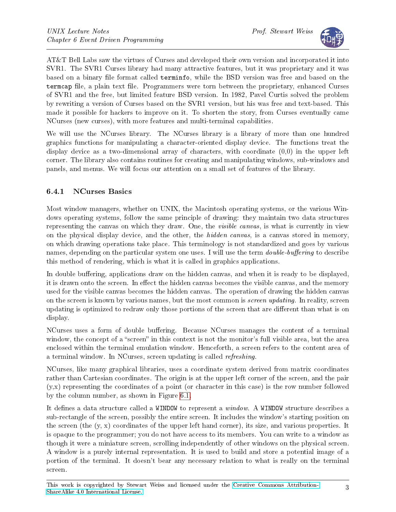

AT&T Bell Labs saw the virtues of Curses and developed their own version and incorporated it into SVR1. The SVR1 Curses library had many attractive features, but it was proprietary and it was based on a binary file format called terminfo, while the BSD version was free and based on the termcap file, a plain text file. Programmers were torn between the proprietary, enhanced Curses of SVR1 and the free, but limited feature BSD version. In 1982, Pavel Curtis solved the problem by rewriting a version of Curses based on the SVR1 version, but his was free and text-based. This made it possible for hackers to improve on it. To shorten the story, from Curses eventually came NCurses (new curses), with more features and multi-terminal capabilities.

We will use the NCurses library. The NCurses library is a library of more than one hundred graphics functions for manipulating a character-oriented display device. The functions treat the display device as a two-dimensional array of characters, with coordinate (0,0) in the upper left corner. The library also contains routines for creating and manipulating windows, sub-windows and panels, and menus. We will focus our attention on a small set of features of the library.

#### 6.4.1 NCurses Basics

Most window managers, whether on UNIX, the Macintosh operating systems, or the various Windows operating systems, follow the same principle of drawing: they maintain two data structures representing the canvas on which they draw. One, the visible canvas, is what is currently in view on the physical display device, and the other, the hidden canvas, is a canvas stored in memory, on which drawing operations take place. This terminology is not standardized and goes by various names, depending on the particular system one uses. I will use the term *double-buffering* to describe this method of rendering, which is what it is called in graphics applications.

In double buffering, applications draw on the hidden canvas, and when it is ready to be displayed, it is drawn onto the screen. In effect the hidden canvas becomes the visible canvas, and the memory used for the visible canvas becomes the hidden canvas. The operation of drawing the hidden canvas on the screen is known by various names, but the most common is *screen updating*. In reality, screen updating is optimized to redraw only those portions of the screen that are different than what is on display.

NCurses uses a form of double buffering. Because NCurses manages the content of a terminal window, the concept of a "screen" in this context is not the monitor's full visible area, but the area enclosed within the terminal emulation window. Henceforth, a screen refers to the content area of a terminal window. In NCurses, screen updating is called refreshing.

NCurses, like many graphical libraries, uses a coordinate system derived from matrix coordinates rather than Cartesian coordinates. The origin is at the upper left corner of the screen, and the pair (y,x) representing the coordinates of a point (or character in this case) is the row number followed by the column number, as shown in Figure [6.1.](#page-3-0)

It defines a data structure called a WINDOW to represent a window. A WINDOW structure describes a sub-rectangle of the screen, possibly the entire screen. It includes the window's starting position on the screen (the (y, x) coordinates of the upper left hand corner), its size, and various properties. It is opaque to the programmer; you do not have access to its members. You can write to a window as though it were a miniature screen, scrolling independently of other windows on the physical screen. A window is a purely internal representation. It is used to build and store a potential image of a portion of the terminal. It doesn't bear any necessary relation to what is really on the terminal screen.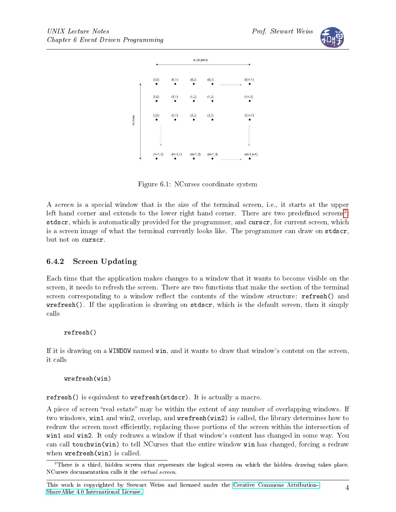



<span id="page-3-0"></span>Figure 6.1: NCurses coordinate system

A screen is a special window that is the size of the terminal screen, i.e., it starts at the upper left hand corner and extends to the lower right hand corner. There are two predefined screens<sup>[2](#page-3-1)</sup>: stdscr, which is automatically provided for the programmer, and curscr, for current screen, which is a screen image of what the terminal currently looks like. The programmer can draw on stdscr, but not on curscr.

#### 6.4.2 Screen Updating

Each time that the application makes changes to a window that it wants to become visible on the screen, it needs to refresh the screen. There are two functions that make the section of the terminal screen corresponding to a window reflect the contents of the window structure: refresh() and wrefresh(). If the application is drawing on stdscr, which is the default screen, then it simply calls

refresh()

If it is drawing on a WINDOW named win, and it wants to draw that window's content on the screen, it calls

```
wrefresh(win)
```
refresh() is equivalent to wrefresh(stdscr). It is actually a macro.

A piece of screen "real estate" may be within the extent of any number of overlapping windows. If two windows, win1 and win2, overlap, and wrefresh(win2) is called, the library determines how to redraw the screen most efficiently, replacing those portions of the screen within the intersection of win1 and win2. It only redraws a window if that window's content has changed in some way. You can call touchwin(win) to tell NCurses that the entire window win has changed, forcing a redraw when wrefresh(win) is called.

<span id="page-3-1"></span> $2$ There is a third, hidden screen that represents the logical screen on which the hidden drawing takes place. NCurses documentation calls it the virtual screen.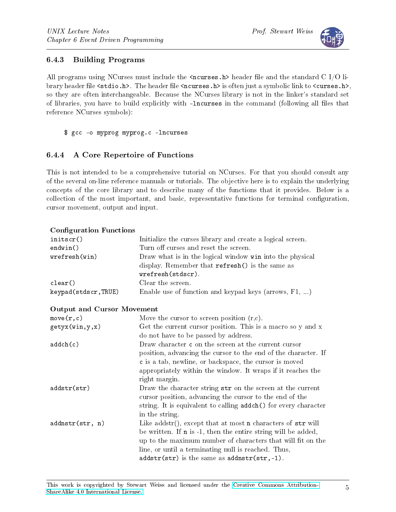

#### 6.4.3 Building Programs

All programs using NCurses must include the  $\langle$ ncurses.h> header file and the standard C I/O library header file  $\text{static.h}$ . The header file  $\text{success.h}$  is often just a symbolic link to  $\text{curses.h}$ . so they are often interchangeable. Because the NCurses library is not in the linker's standard set of libraries, you have to build explicitly with -lncurses in the command (following all files that reference NCurses symbols):

\$ gcc -o myprog myprog.c -lncurses

#### 6.4.4 A Core Repertoire of Functions

This is not intended to be a comprehensive tutorial on NCurses. For that you should consult any of the several on-line reference manuals or tutorials. The objective here is to explain the underlying concepts of the core library and to describe many of the functions that it provides. Below is a collection of the most important, and basic, representative functions for terminal configuration, cursor movement, output and input.

| Configuration Functions               |                                                            |
|---------------------------------------|------------------------------------------------------------|
| initscr()                             | Initialize the curses library and create a logical screen. |
| endwin()                              | Turn off curses and reset the screen.                      |
| wrefresh(win)                         | Draw what is in the logical window win into the physical   |
|                                       | display. Remember that refresh() is the same as            |
|                                       | wrefresh(stdscr).                                          |
| clear()                               | Clear the screen.                                          |
| keypad(stdscr, TRUE)                  | Enable use of function and keypad keys (arrows, $F1$ , )   |
|                                       |                                                            |
| <b>Output and Cursor Movement</b>     |                                                            |
| $m \alpha$ $\sigma$ $\tau$ $\sigma$ ) | Move the cursor to screen position $(r, c)$                |

#### **Configuration Functions**

| move(r, c)       | Move the cursor to screen position $(r,c)$ .                         |  |  |  |
|------------------|----------------------------------------------------------------------|--|--|--|
| getyx(win, y, x) | Get the current cursor position. This is a macro so y and x          |  |  |  |
|                  | do not have to be passed by address.                                 |  |  |  |
| addch(c)         | Draw character c on the screen at the current cursor                 |  |  |  |
|                  | position, advancing the cursor to the end of the character. If       |  |  |  |
|                  | c is a tab, newline, or backspace, the cursor is moved               |  |  |  |
|                  | appropriately within the window. It wraps if it reaches the          |  |  |  |
|                  | right margin.                                                        |  |  |  |
| addr(str)        | Draw the character string str on the screen at the current           |  |  |  |
|                  | cursor position, advancing the cursor to the end of the              |  |  |  |
|                  | string. It is equivalent to calling addch() for every character      |  |  |  |
|                  | in the string.                                                       |  |  |  |
| addnstr(str, n)  | Like $addstr()$ , except that at most n characters of $str$ will     |  |  |  |
|                  | be written. If <b>n</b> is -1, then the entire string will be added, |  |  |  |
|                  | up to the maximum number of characters that will fit on the          |  |  |  |
|                  | line, or until a terminating null is reached. Thus,                  |  |  |  |
|                  | $addstr(str)$ is the same as $addnstr(str, -1)$ .                    |  |  |  |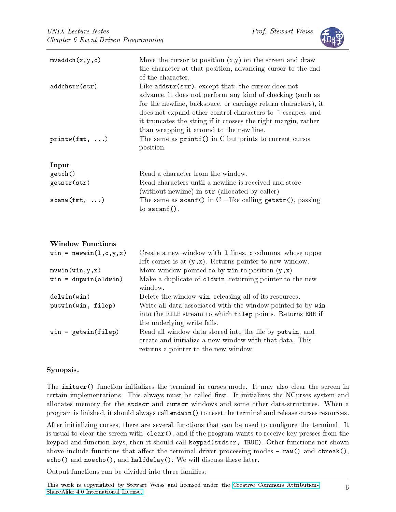

| mvaddch(x, y, c)      | Move the cursor to position $(x, y)$ on the screen and draw                           |
|-----------------------|---------------------------------------------------------------------------------------|
|                       | the character at that position, advancing cursor to the end                           |
|                       | of the character.                                                                     |
| addchstr(str)         | Like $addstr(str)$ , except that: the cursor does not                                 |
|                       | advance, it does not perform any kind of checking (such as                            |
|                       | for the newline, backspace, or carriage return characters), it                        |
|                       | does not expand other control characters to ^-escapes, and                            |
|                       | it truncates the string if it crosses the right margin, rather                        |
|                       | than wrapping it around to the new line.                                              |
| $printw(fmt, \ldots)$ | The same as $print()$ in C but prints to current cursor<br>position.                  |
| Input                 |                                                                                       |
| getch()               | Read a character from the window.                                                     |
| getstr(str)           | Read characters until a newline is received and store                                 |
|                       | (without newline) in $str$ (allocated by caller)                                      |
| $scanw(fmt, \ldots)$  | The same as scanf() in $C$ – like calling getstr(), passing<br>to $\text{sscanf}()$ . |

### Window Functions

| win = $newwin(1, c, y, x)$ | Create a new window with 1 lines, c columns, whose upper    |
|----------------------------|-------------------------------------------------------------|
|                            | left corner is at $(y, x)$ . Returns pointer to new window. |
| $m$ vwin $(win, y, x)$     | Move window pointed to by win to position $(y, x)$          |
| $win = dupwin(oldwin)$     | Make a duplicate of oldwin, returning pointer to the new    |
|                            | window.                                                     |
| delwin(win)                | Delete the window win, releasing all of its resources.      |
| putwin(win, filep)         | Write all data associated with the window pointed to by win |
|                            | into the FILE stream to which filep points. Returns ERR if  |
|                            | the underlying write fails.                                 |
| $win = getwin(filep)$      | Read all window data stored into the file by putwin, and    |
|                            | create and initialize a new window with that data. This     |
|                            | returns a pointer to the new window.                        |

#### Synopsis.

The initscr() function initializes the terminal in curses mode. It may also clear the screen in certain implementations. This always must be called first. It initializes the NCurses system and allocates memory for the stdscr and curscr windows and some other data-structures. When a program is finished, it should always call endwin() to reset the terminal and release curses resources.

After initializing curses, there are several functions that can be used to configure the terminal. It is usual to clear the screen with  $\text{clear}()$ , and if the program wants to receive key-presses from the keypad and function keys, then it should call keypad(stdscr, TRUE). Other functions not shown above include functions that affect the terminal driver processing modes  $-$  raw() and cbreak(), echo() and noecho(), and halfdelay(). We will discuss these later.

Output functions can be divided into three families: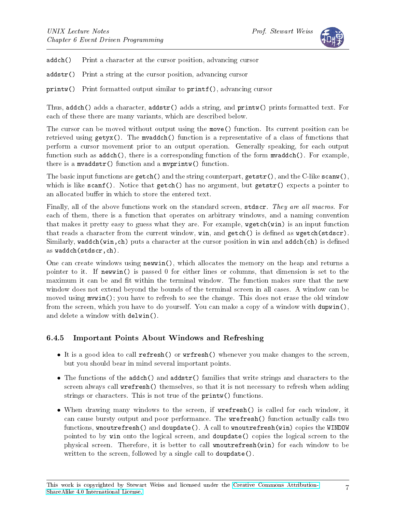

addch() Print a character at the cursor position, advancing cursor

addstr() Print a string at the cursor position, advancing cursor

printw() Print formatted output similar to printf(), advancing cursor

Thus, addch() adds a character, addstr() adds a string, and printw() prints formatted text. For each of these there are many variants, which are described below.

The cursor can be moved without output using the move() function. Its current position can be retrieved using getyx(). The mvaddch() function is a representative of a class of functions that perform a cursor movement prior to an output operation. Generally speaking, for each output function such as addch(), there is a corresponding function of the form mvaddch(). For example, there is a mvaddstr() function and a mvprintw() function.

The basic input functions are getch() and the string counterpart, getstr(), and the C-like scanw(), which is like scanf(). Notice that getch() has no argument, but getstr() expects a pointer to an allocated buffer in which to store the entered text.

Finally, all of the above functions work on the standard screen, stdscr. They are all macros. For each of them, there is a function that operates on arbitrary windows, and a naming convention that makes it pretty easy to guess what they are. For example, wgetch(win) is an input function that reads a character from the current window, win, and getch() is defined as wgetch(stdscr). Similarly, waddch(win,ch) puts a character at the cursor position in win and addch(ch) is defined as waddch(stdscr,ch).

One can create windows using newwin(), which allocates the memory on the heap and returns a pointer to it. If newwin() is passed 0 for either lines or columns, that dimension is set to the maximum it can be and fit within the terminal window. The function makes sure that the new window does not extend beyond the bounds of the terminal screen in all cases. A window can be moved using mvwin(); you have to refresh to see the change. This does not erase the old window from the screen, which you have to do yourself. You can make a copy of a window with dupwin(), and delete a window with delwin().

#### 6.4.5 Important Points About Windows and Refreshing

- It is a good idea to call refresh() or wrfresh() whenever you make changes to the screen, but you should bear in mind several important points.
- The functions of the addch() and addstr() families that write strings and characters to the screen always call wrefresh() themselves, so that it is not necessary to refresh when adding strings or characters. This is not true of the printw() functions.
- When drawing many windows to the screen, if wrefresh() is called for each window, it can cause bursty output and poor performance. The wrefresh() function actually calls two functions, wnoutrefresh() and doupdate(). A call to wnoutrefresh(win) copies the WINDOW pointed to by win onto the logical screen, and doupdate() copies the logical screen to the physical screen. Therefore, it is better to call wnoutrefresh(win) for each window to be written to the screen, followed by a single call to doupdate().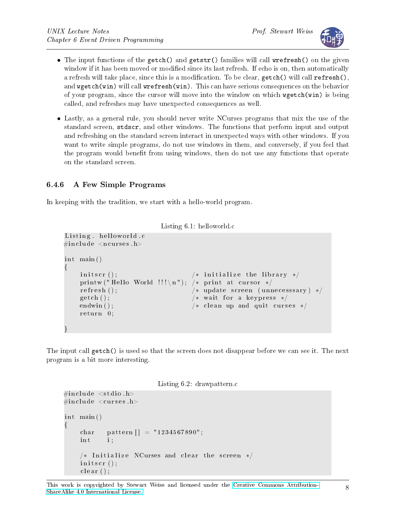

- The input functions of the getch() and getstr() families will call wrefresh() on the given window if it has been moved or modified since its last refresh. If echo is on, then automatically a refresh will take place, since this is a modification. To be clear,  $\text{getch}()$  will call  $\text{refresh}()$ , and wgetch(win) will call wrefresh(win). This can have serious consequences on the behavior of your program, since the cursor will move into the window on which wgetch(win) is being called, and refreshes may have unexpected consequences as well.
- Lastly, as a general rule, you should never write NCurses programs that mix the use of the standard screen, stdscr, and other windows. The functions that perform input and output and refreshing on the standard screen interact in unexpected ways with other windows. If you want to write simple programs, do not use windows in them, and conversely, if you feel that the program would benefit from using windows, then do not use any functions that operate on the standard screen.

#### 6.4.6 A Few Simple Programs

In keeping with the tradition, we start with a hello-world program.

Listing 6.1: helloworld.c

```
Listing. helloworld.c
\#\texttt{include} <nclude \texttt{<ncures.h>}int main ()
\left\{ \right\}initscr(); /* initialize the library */printw ("Hello World !!! \n"); /* print at cursor */
   refresh(); /* update screen (unnecesssary) */
   get ch (); /* wait for a keypress */endwin (); /* clean up and quit curses */return 0;}
```
The input call getch() is used so that the screen does not disappear before we can see it. The next program is a bit more interesting.

Listing 6.2: drawpattern.c

```
\#\texttt{include}\ \texttt{<stdio.h>}\#\mathrm{in}\,\mathrm{cl}\,\mathrm{ud}\,\mathrm{e} \,< \mathrm{c}\,\mathrm{ur}\,\mathrm{ses}\, . \mathrm{h}\!\!>int main ()
\left\{ \right.char pattern | = 1234567890";
       int i;
       /* Initialize NCurses and clear the screen */
        initscr();
       c l e a r ( ) ;
```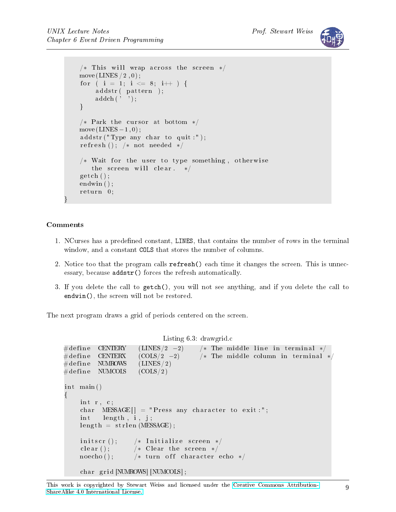```
/* This will wrap across the screen */
move (LINES / 2 , 0);for ( i = 1; i <= 8; i++ ) {
    addstr ( pattern );
    addch (, ');}
/* Park the cursor at bottom */
move (LINES-1, 0);addstr("Type any char to quit:");refresh(); /* not needed */
/* Wait for the user to type something, otherwise
   the screen will clear. */getch();
endwin ( ) ;
r et urn 0;
```
#### Comments

}

- 1. NCurses has a predefined constant, LINES, that contains the number of rows in the terminal window, and a constant COLS that stores the number of columns.
- 2. Notice too that the program calls refresh() each time it changes the screen. This is unnecessary, because addstr() forces the refresh automatically.
- 3. If you delete the call to getch(), you will not see anything, and if you delete the call to endwin(), the screen will not be restored.

The next program draws a grid of periods centered on the screen.

Listing 6.3: drawgrid.c

```
\# \text{define} \quad \text{CENTERY} \qquad (\text{LINES}/2 \; -2) \qquad \text{/*} \; \; \text{The \; middle \; line \; in \; terminal \; *} / \; \;\#\text{define} CENTERX (COLS/2 −2) /* The middle column in terminal */
\#d e f i n e NUMROWS (LINES / 2)
\#\text{define} NUMCOLS (COLS/2)
int main ()
{
    int r, c;char MESSAGE[ = "Press any character to exit:";
     int length, i, j;
    length = strlen(MESSAGE);
     initscr (); \sqrt{\frac{1}{\pi}} Initialize screen */clear (); /* Clear the screen */noecho (); /* turn off character echo */
     char grid [NUMROWS] [NUMCOLS];
```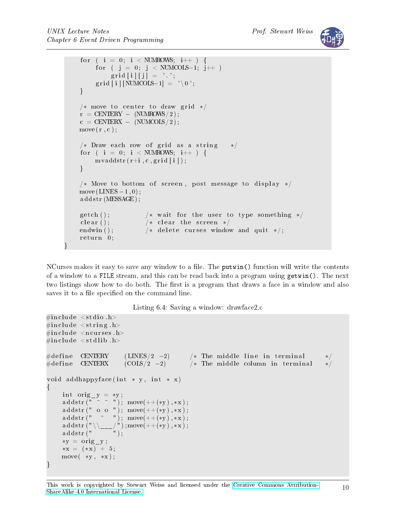}



```
for ( i = 0; i < NUMROWS; i++ ) {
    for ( j = 0; j < NUMCOLS-1; j++ )
        grid [i][j] = '.';
    grid [i ] [NUMCOLS-1] = '\setminus 0';
}
/* move to center to draw grid */
r = \text{CENTERY} - (\text{NUMROWS}/2);c = \text{CENTERX} - (\text{NUMCOLS}/2);move(r, c);/* Draw each row of grid as a string */for ( i = 0; i < NUMROWS; i++ ) {
    mvaddstr(r+i, c, grid[i]);}
/* Move to bottom of screen, post message to display */
move (LINES-1, 0);addstr (MESSAGE);
get ch (); \frac{1}{x} wait for the user to type something */
clear (); /* clear the screen */endwin (); /* delete curses window and quit */;r et urn 0;
```
NCurses makes it easy to save any window to a file. The putwin() function will write the contents of a window to a FILE stream, and this can be read back into a program using getwin(). The next two listings show how to do both. The first is a program that draws a face in a window and also saves it to a file specified on the command line.

Listing 6.4: Saving a window: drawface2.c

```
\#\texttt{include}\ <\texttt{stdio} .h>
\#\texttt{include}~<\texttt{string}~\text{.} h>\#\texttt{include}\> <\!\! \texttt{nc} \, \texttt{uc} \, \texttt{se} \, \texttt{.} \, \texttt{h}>
\#\texttt{include}\ < \texttt{stdlib} .h>\#\text{define } \text{ CENTERY} \qquad \text{(LINES / 2 \; -2)} \qquad \text{/* The middle line in terminal } \qquad \ast/\#\text{define} CENTERX (COLS/2 -2) /* The middle column in terminal */
void addhappy face (int * y, int * x)
{
        int orig y = *y;
        \mathrm{add}\,{\rm str} (" ^ ^ "); move(++(*y),*x);
        {\rm add}\,{\rm str} \,(\tt''\, \, \, o\, \, \, o\, \, \, ''\,) \,;\,\, \,{\rm move} (+ + (*y)\, , *x\,) \, ;\text{addstr}(\text{''} \quad \text{''}); move(+(*y), **x);
         {\rm ad\,} {\rm d}\, {\rm s\,} {\rm tr} \, (\,^{\sf H} \, \backslash \, \{\_\_\_\_\_/\,^{\sf H})\, ; {\rm move} (+ + (*{\rm y}\,)\, , * \, {\rm x}\, )\, ;\mathrm{addstr} \left( \begin{array}{ccc} \textsf{m} & & \textsf{m} \\ \end{array} \right);*y = orig_y;*x = (*x) + 5;move (*y, *x);}
```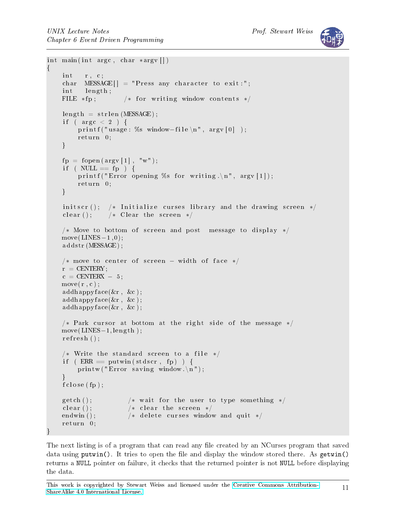$\{$ 

}

```
int main (int argc, char *argv\lceil \rceil)
    \text{int} r, c;
    char MESSAGE[ = "Press any character to exit :";
    int length;
    FILE *fp; /* for writing window contents */
    length = strlen(MESSAGE);
    if ( \arg c < 2 ) {
        printf ("usage: %s window-file \n", argv [0] );
        return 0;}
    fp = fopen (argv [1], "w");if ( NULL == fp ) {
        printf ("Error opening %s for writing.\n\cdot \n\cdot n", argv [1]);
        return 0;}
    initscr (); /* Initialize curses library and the drawing screen */clear (); /* Clear the screen *//* Move to bottom of screen and post message to display */move (LINES-1, 0);addstr(MESSAGE);
    /* move to center of screen – width of face */
    r = \text{CENTERY};c = \text{CENTERX} - 5;move(r, c);addhappyface(\&r, \&c);addhappyface(\&r, \&c);addhappyface(\&r, \&c);/* Park cursor at bottom at the right side of the message */move(LINES-1, length);refresh();
    /* Write the standard screen to a file */
    if ( ERR == putwin(\text{stdscr}, \text{fp}) ) {
        print w("Error saving window.\n^n);}
    f c l o s e (f p);
    getch (); \frac{1}{x} wait for the user to type something */
    clear (); /* clear the screen */endwin (); /* delete curses window and quit */r et urn 0;
```
The next listing is of a program that can read any file created by an NCurses program that saved data using putwin(). It tries to open the file and display the window stored there. As getwin() returns a NULL pointer on failure, it checks that the returned pointer is not NULL before displaying the data.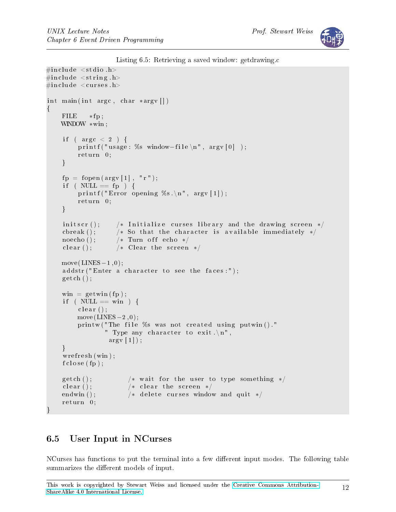

Listing 6.5: Retrieving a saved window: getdrawing.c

```
#i n cl u d e <s t d i o . h>
\#\texttt{include}\ \texttt{<string} . h>
\#\texttt{include}\ <\texttt{c} urses . h>int main (int argc, char *argv [])
\{FILE *fp;
    WINDOW ∗win ;
    if (\text{argc} < 2) {
         printf ("usage: %s window-file \n", argv [0] );
         return 0;}
    fp = fopen (argv[1], "r");
    if ( NULL == f p ) {
         printf ("Error opening \%s \ . \ n", argv [1]);
         r et urn 0;
    }
    initscr (); \sqrt{\frac{1}{\pi}} Initialize curses library and the drawing screen */
    cbreak (); \qquad /* So that the character is available immediately */
    \text{noecho}(); /* Turn off echo */clear (); /* Clear the screen */move (LINES-1, 0);addstr("Enter a character to see the faces:");getch();win = getwin (fp);if ( NULL == win ) {
         \text{clear}();
         move (LINES-2,0);printw ("The file %s was not created using putwin ()."
                 " Type any character to exit. \mathbf{n}",
                  argv[1];
    }
    w r e f r e s h(win);
    f \nclose (fp);getch(); /* wait for the user to type something */clear (); /* clear the screen */endwin (); /* delete curses window and quit */r et urn 0;
}
```
## 6.5 User Input in NCurses

NCurses has functions to put the terminal into a few different input modes. The following table summarizes the different models of input.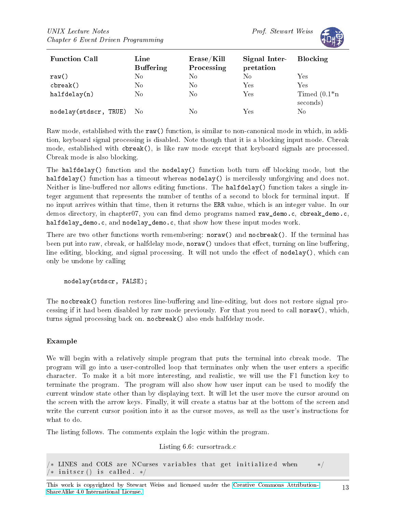

| <b>Function Call</b>  | Line<br><b>Buffering</b> | Erase/Kill<br>Processing | Signal Inter-<br>pretation | <b>Blocking</b>             |
|-----------------------|--------------------------|--------------------------|----------------------------|-----------------------------|
| raw()                 | No                       | No                       | No                         | Yes                         |
| $\texttt{chreak}()$   | N <sub>0</sub>           | No                       | Yes                        | Yes                         |
| halfdelay(n)          | N <sub>o</sub>           | No                       | Yes                        | Timed $(0.1*n)$<br>seconds) |
| nodelay(stdscr, TRUE) | - No                     | No                       | Yes                        | No                          |

Raw mode, established with the raw() function, is similar to non-canonical mode in which, in addition, keyboard signal processing is disabled. Note though that it is a blocking input mode. Cbreak mode, established with cbreak(), is like raw mode except that keyboard signals are processed. Cbreak mode is also blocking.

The halfdelay() function and the nodelay() function both turn off blocking mode, but the halfdelay() function has a timeout whereas nodelay() is mercilessly unforgiving and does not. Neither is line-buffered nor allows editing functions. The halfdelay() function takes a single integer argument that represents the number of tenths of a second to block for terminal input. If no input arrives within that time, then it returns the ERR value, which is an integer value. In our demos directory, in chapter07, you can find demo programs named raw\_demo.c, cbreak\_demo.c, halfdelay demo.c, and nodelay demo.c, that show how these input modes work.

There are two other functions worth remembering: noraw() and nocbreak(). If the terminal has been put into raw, cbreak, or halfdelay mode,  $\mathbf{nov}()$  undoes that effect, turning on line buffering, line editing, blocking, and signal processing. It will not undo the effect of  $nodelay()$ , which can only be undone by calling

nodelay(stdscr, FALSE);

The nocbreak() function restores line-buffering and line-editing, but does not restore signal processing if it had been disabled by raw mode previously. For that you need to call noraw(), which, turns signal processing back on. nocbreak() also ends halfdelay mode.

#### Example

We will begin with a relatively simple program that puts the terminal into cbreak mode. The program will go into a user-controlled loop that terminates only when the user enters a specific character. To make it a bit more interesting, and realistic, we will use the F1 function key to terminate the program. The program will also show how user input can be used to modify the current window state other than by displaying text. It will let the user move the cursor around on the screen with the arrow keys. Finally, it will create a status bar at the bottom of the screen and write the current cursor position into it as the cursor moves, as well as the user's instructions for what to do.

The listing follows. The comments explain the logic within the program.

Listing 6.6: cursortrack.c

 $/*$  LINES and COLS are NCurses variables that get initialized when  $*/$  $\sqrt{\ast}$  initscr() is called  $\sqrt{\ast}$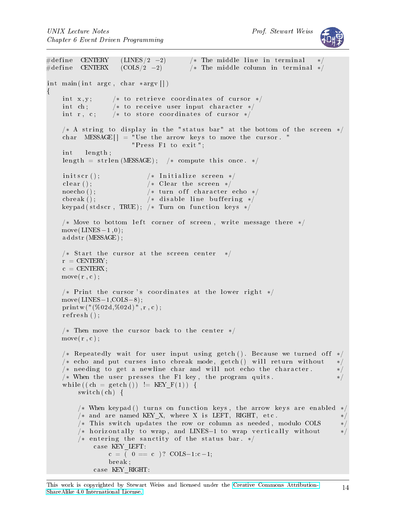

```
\#\text{define} CENTERY (LINES/2 -2) /* The middle line in terminal
\# \text{define } \text{ CENTERX } (\text{COLS}/2 -2) \longrightarrow \text{ the middle column in terminal } */int main(int argc, char *argv[])
{
    int x, y; /* to retrieve coordinates of cursor */int ch; /* to receive user input character */int r, c; /* to store coordinates of cursor *//* A string to display in the "status bar" at the bottom of the screen */
    char MESSAGE[ = "Use the arrow keys to move the cursor. "
                     "Press F1 to exit ";
    int length;
    length = strlen (MESSAGE); /* compute this once. */
    initscr (); /* Initialize screen */c lear (); /* C lear the screen */noecho(); /* turn off character echo */cbreak (); /* disable line buffering */keypad({stack, TRUE}); /* Turn on function keys */
    /* Move to bottom left corner of screen, write message there */move (LINES-1, 0);addstr(MESSAGE);
    /* Start the cursor at the screen center */r = \text{CENTERV};c = \text{CENTERX};move(r, c);/* Print the cursor's coordinates at the lower right */move (LINES-1, COLS-8);print w ("(\%02d, \%02d)", r, c);
    r \, \text{eff} \, \text{r} \, \text{sh} \, ( );
    /* Then move the cursor back to the center */
   move(r, c);/* Repeatedly wait for user input using getch(). Because we turned off *//* echo and put curses into cbreak mode, getch() will return without */
    /* needing to get a newline char and will not echo the character. *//* When the user presses the F1 key, the program quits. */while (( ch = getch () ) = K E Y F(1) )switch (\ch) {
        /* When keypad () turns on function keys, the arrow keys are enabled */
        /* and are named KEY_X, where X is LEFT, RIGHT, etc. * //* This switch updates the row or column as needed, modulo COLS *//* horizontally to wrap, and LINES-1 to wrap vertically without *//* entering the sanctity of the status bar. */
            case KEY LEFT:
                c = (0 == c)? COLS-1:c - 1;
                break ;
            case KEY RIGHT:
```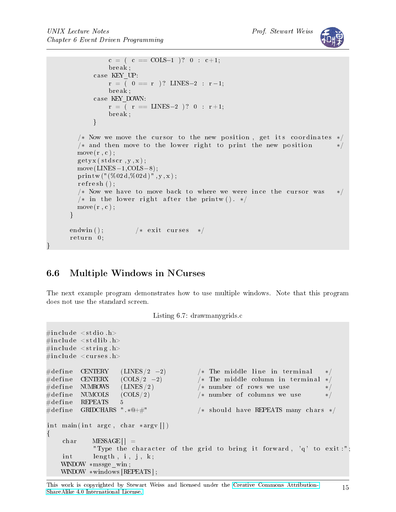```
c = ( c = COLS-1 )? 0 : c+1;break ;
      case KEY UP:
           r = (0 == r)? LINES-2 : r-1;
           break ;
      case KEY DOWN:
           r = (r == LINKS-2)? 0 : r+1;
           break ;
      }
  /* Now we move the cursor to the new position, get its coordinates */
  /* and then move to the lower right to print the new position */move(r, c);get \, y \, x \, (st \, d \, s \, c \, r \, , y \, , x \, );move (LINES-1, COLS-8);print w (\sqrt{\frac{902d}{\times 02d}}) ", y, x);
  refresh();
  /* Now we have to move back to where we were ince the cursor was */
  /* in the lower right after the printw (). */
 move(r, c);}
endwin (); /* exit curses */r et urn 0;
```
## 6.6 Multiple Windows in NCurses

}

The next example program demonstrates how to use multiple windows. Note that this program does not use the standard screen.

```
\#\texttt{include}\ <\!\!\texttt{stdio}\xspace .h>\#\texttt{include}\ < \texttt{stdlib} . h>\#\texttt{include}\ <\texttt{string} . \texttt{h}>\#\texttt{include} < \texttt{c}urses.h>\#\text{define} CENTERY (LINES/2 −2) /* The middle line in terminal */
\#\text{define} CENTERX (COLS/2 −2) /* The middle column in terminal */
\#\text{define} NUMROWS (LINES/2) /* number of rows we use */
\# \text{define} NUMCOLS (COLS/2) \qquad /* number of columns we use \qquad */
\#\text{define} REPEATS
#define GRIDCHARS ".*@+#" /* should have REPEATS many chars */
int main (int argc, char *argv [])
{
    char MESSAGE[ ] =
             "Type the character of the grid to bring it forward, 'q' to exit:";
    \text{int } length, i, j, k;
    WNDOW *mssge_win;
    WINDOW *windows [REPEATS];
```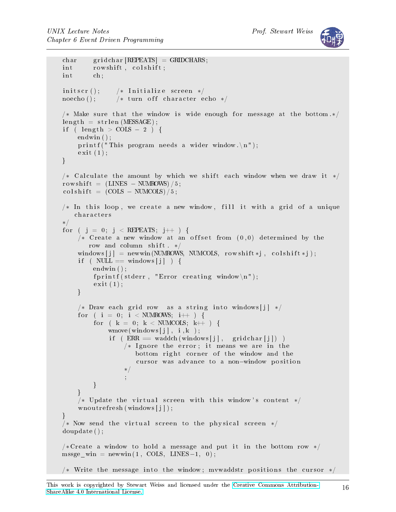

```
char grid char [REPEATS] = GRIDCHARS;int rowshift, colshift;
int ch;
initscr (); \sqrt{\frac{1}{\pi}} Initialize screen \sqrt{\frac{1}{\pi}}noecho (); \longrightarrow turn off character echo */
/* Make sure that the window is wide enough for message at the bottom .*/
length = strlen(MESSAGE);
if ( \mathrm{length} > \mathrm{COLS} - 2 ) {
    endwin ( ) ;
    printf ("This program needs a wider window.\ln");
    ext{ (1)};
}
/* Calculate the amount by which we shift each window when we draw it */
rows \text{hift} = (LINES - NUMRows)/5;colshift = (COLS - NUMCOIS)/5;/* In this loop, we create a new window, fill it with a grid of a unique
   c h a r a c t e r s
∗/
for ( j = 0; j < REPEATS; j\rightarrow ) {
    /* Create a new window at an offset from (0,0) determined by the
       row and column shift. */windows [j] = newwin (NUMROWS, NUMCOLS, rowshift * j, colshift * j);if ( \text{NULL} = \text{windows} | j | ) {
         endwin ( ) ;
         fprintf (stderr, "Error creating window\n");
         ext{ext}(1);}
    /* Draw each grid row as a string into windows [j] */
    for ( i = 0; i < NUMROWS; i \rightarrow ) {
         for ( k = 0; k < NUMCOLS; k++ ) {
             wmove(windows[j], i, k);if ( \text{ERR} == \text{waddch}(\text{windows}[j], \text{gridchar}[j]) )
                  /* Ignore the error; it means we are in the
                     bottom right corner of the window and the
                     cursor was advance to a non-window position
                  ∗/
                  ;
        }
    }
    /* Update the virtual screen with this window's content */
    w n out refresh (windows [j]);
}
/* Now send the virtual screen to the physical screen */
doupdate ( ) ;
/*Create a window to hold a message and put it in the bottom row */mssge\_win = newwin(1, COLS, LINES-1, 0);/* Write the message into the window; mvwaddstr positions the cursor */
```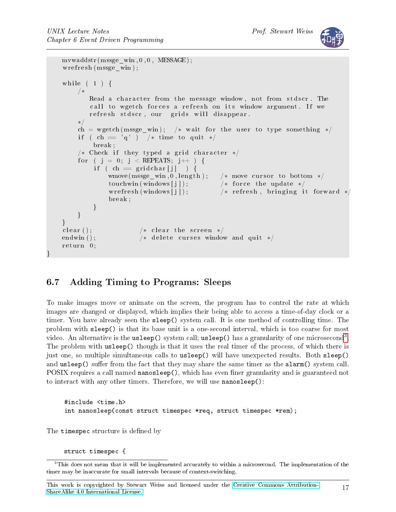

```
mvwaddstr (mssge_win, 0, 0, MESSAGE) ;
w r e f r e s h (mssge w in );
while (1) {
    /∗
        Read a character from the message window, not from stdscr. The
        call to wgetch forces a refresh on its window argument. If we
        refresh stdscr, our grids will disappear.
    ∗/
    ch = wgetch (mssge-win) ; /* wait for the user to type something */
    if ( ch == 'q' ) /* time to quit */
         break ;
    /* Check if they typed a grid character */
    for ( j = 0; j < REPEATS; j \rightarrow + ) {
         if ( ch = grid char [j] ) {
             wmove ( mssge_win , 0 , l ength ); <br> \rightarrow move cursor to bottom */<br>touchwin ( windows [j] ) ; <br> \rightarrow force the update */
              \text{touchwin} ( windows [ j ] ) ;
              wrefresh (windows [j]); /* refresh, bringing it forward */break ;
         }
    }
}
clear (); /* clear the screen */endwin (); /* delete curses window and quit */r et urn 0;
```
## 6.7 Adding Timing to Programs: Sleeps

To make images move or animate on the screen, the program has to control the rate at which images are changed or displayed, which implies their being able to access a time-of-day clock or a timer. You have already seen the sleep() system call. It is one method of controlling time. The problem with sleep() is that its base unit is a one-second interval, which is too coarse for most video. An alternative is the  ${\tt usleep}$  () system call;  ${\tt usleep}$  () has a granularity of one microsecond $^3$  $^3$ . The problem with usleep() though is that it uses the real timer of the process, of which there is just one, so multiple simultaneous calls to usleep() will have unexpected results. Both sleep() and usleep() suffer from the fact that they may share the same timer as the alarm() system call. POSIX requires a call named nanosleep(), which has even finer granularity and is guaranteed not to interact with any other timers. Therefore, we will use nanosleep():

```
#include <time.h>
int nanosleep(const struct timespec *req, struct timespec *rem);
```
The timespec structure is defined by

struct timespec {

}

<span id="page-16-0"></span><sup>&</sup>lt;sup>3</sup>This does not mean that it will be implemented accurately to within a microsecond. The implementation of the timer may be inaccurate for small intervals because of context-switching.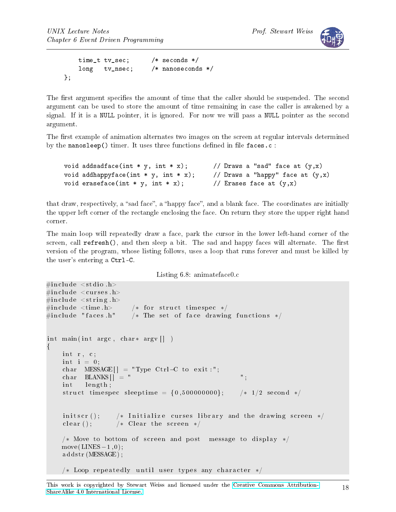

```
time_t tv_sec; /* seconds */
   long tv_nsec; /* nanoseconds */
};
```
The first argument specifies the amount of time that the caller should be suspended. The second argument can be used to store the amount of time remaining in case the caller is awakened by a signal. If it is a NULL pointer, it is ignored. For now we will pass a NULL pointer as the second argument.

The first example of animation alternates two images on the screen at regular intervals determined by the nanosleep() timer. It uses three functions defined in file faces.c :

```
void addsadface(int * y, int * x); \qquad // Draws a "sad" face at (y,x)
void addhappyface(int * y, int * x); \qquad // Draws a "happy" face at (y,x)
void eraseface(int * y, int * x); \frac{1}{\sqrt{2}} Erases face at (y,x)
```
that draw, respectively, a "sad face", a "happy face", and a blank face. The coordinates are initially the upper left corner of the rectangle enclosing the face. On return they store the upper right hand corner.

The main loop will repeatedly draw a face, park the cursor in the lower left-hand corner of the screen, call refresh(), and then sleep a bit. The sad and happy faces will alternate. The first version of the program, whose listing follows, uses a loop that runs forever and must be killed by the user's entering a Ctrl-C.

Listing 6.8: animateface0.c

```
\#\texttt{include}\ <\texttt{stdio} . \texttt{h}>\#\texttt{include}\ <\texttt{c} urses . h>\#\texttt{include}~<\texttt{string}~\text{h}>\#\texttt{include} < \texttt{time.h}> /* for struct timespec */
\#\text{include "faces.h"} \qquad \text{/* The set of face drawing functions } *\text{/}int main (int argc, char * argv [])
{
    int r, c;int i = 0;
    char MESSAGE[ = "Type Ctrl–C to exit :";
    char BLANKS[ ] = " ";
    int length;
    struct timespec sleeptime = \{0, 500000000\}; /* 1/2 second */
    initscr (); \quad /* Initialize curses library and the drawing screen */
    clear (); /* Clear the screen *//* Move to bottom of screen and post message to display */
    move (LINES-1, 0);addstr(MESSAGE);
    /* Loop repeatedly until user types any character */
```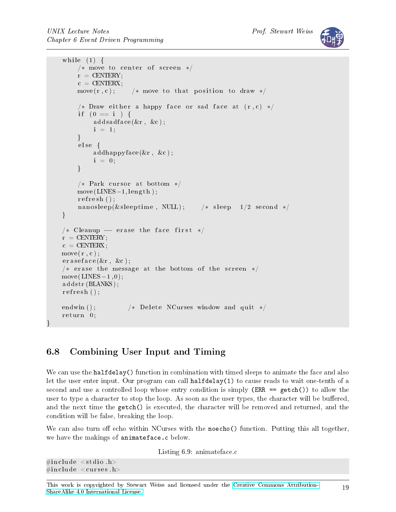```
while (1) {
    /* move to center of screen */
    r = \text{CENTERV};c = \text{CENTERX};move (r, c); /* move to that position to draw */
    /* Draw either a happy face or sad face at (r, c) */
    if (0 = i) {
        addsaddlece(\&r, \&c);i = 1;}
    else \{addhappyface (&r, &c);i = 0;}
    /* Park cursor at bottom */
    move(LINES-1, length);refresh();
    nanosleep(& sleeptime, NULL); /* sleep 1/2 second */
}
/* Cleanup - erase the face first */
r = \text{CENTERV};c = \text{CENTERX};move(r, c);erase face (\&r, \&c);/* erase the message at the bottom of the screen */
move (LINES-1, 0);ad \, dist \, r \, (BLANKS);
refresh();
endwin (); /* Delete NCurses window and quit */r et urn 0;
```
## 6.8 Combining User Input and Timing

We can use the halfdelay() function in combination with timed sleeps to animate the face and also let the user enter input. Our program can call halfdelay(1) to cause reads to wait one-tenth of a second and use a controlled loop whose entry condition is simply (ERR == getch()) to allow the user to type a character to stop the loop. As soon as the user types, the character will be buffered, and the next time the getch() is executed, the character will be removed and returned, and the condition will be false, breaking the loop.

We can also turn off echo within NCurses with the noecho() function. Putting this all together, we have the makings of animateface.c below.

Listing 6.9: animateface.c

```
\#\texttt{include}\ <\texttt{stdio} .h>
\#\texttt{include}\ <\texttt{curses}\ \texttt{.} h>
```
}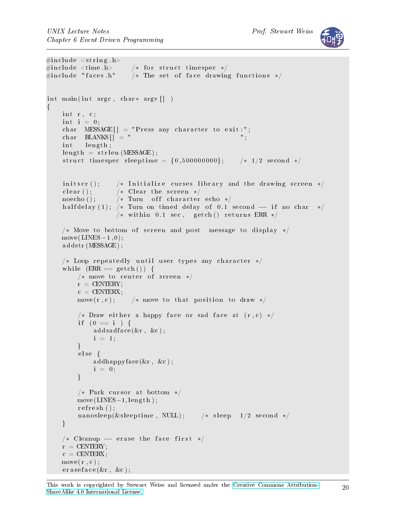

```
\#\texttt{include} < \texttt{string}.h>
\#\texttt{include} < \texttt{time.h}> /* for struct timespec */
\#\text{include "faces.h"} /* The set of face drawing functions */
int main (int argc, char * argv \vert \vert)
{
    int r, c;int i = 0;
    char MESSAGE[] = "Press any character to exit:";<br>char BLANKS[] = "char BLANKS | \; | \; = \; "int length;
    length = strlen(MESSAGE);struct timespec sleeptime = \{0, 500000000\}; /* 1/2 second */
    initscr (); \frac{1}{2} is finitialize curses library and the drawing screen */
    clear (); /* Clear the screen */noecho(); /* Turn off character echo */
    halfdelay (1); /* Turn on timed delay of 0.1 second -- if no char */
                   /* within 0.1 sec, getch() returns ERR */
    /* Move to bottom of screen and post message to display */
    move (LINES-1, 0);addstr(MESSAGE);
    /* Loop repeatedly until user types any character */while (ERR = getch () ) {
        \rightarrow move to center of screen */
        r = \text{CENTERV};c = \text{CENTERX};move (r, c); /* move to that position to draw */
         /* Draw either a happy face or sad face at (r, c) */
         if (0 = i) {
             addsaddlece(\&r, \&c);i = 1;}
         else {
             addhappyface (&r, &c);i = 0;}
         /* Park cursor at bottom */
        move(LINES-1, length);refresh();
        nanosleep(& sleeptime, NULL); /* sleep 1/2 second */}
    /* Cleanup - erase the face first */
    r = \text{CENTERV};
    c = \text{CENTERX};move(r, c);erase face (\&r, \&c);
```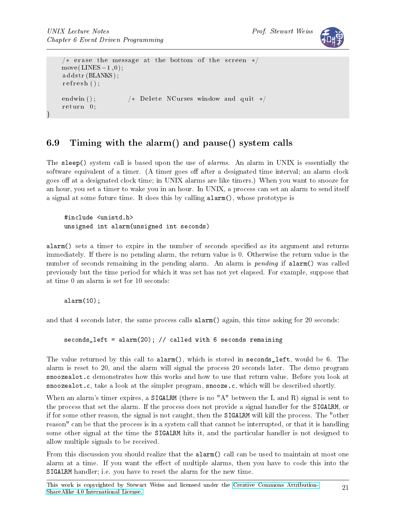

```
/* erase the message at the bottom of the screen */
move (LINES-1, 0);addstr(BLANKS);refresh();
endwin (); /* Delete NCurses window and quit */r et urn 0;
```
## 6.9 Timing with the alarm() and pause() system calls

The sleep() system call is based upon the use of *alarms*. An alarm in UNIX is essentially the software equivalent of a timer. (A timer goes off after a designated time interval; an alarm clock goes off at a designated clock time; in UNIX alarms are like timers.) When you want to snooze for an hour, you set a timer to wake you in an hour. In UNIX, a process can set an alarm to send itself a signal at some future time. It does this by calling alarm(), whose prototype is

#include <unistd.h> unsigned int alarm(unsigned int seconds)

alarm() sets a timer to expire in the number of seconds specified as its argument and returns immediately. If there is no pending alarm, the return value is 0. Otherwise the return value is the number of seconds remaining in the pending alarm. An alarm is *pending* if alarm() was called previously but the time period for which it was set has not yet elapsed. For example, suppose that at time 0 an alarm is set for 10 seconds:

 $alarm(10);$ 

}

and that 4 seconds later, the same process calls **alarm**() again, this time asking for 20 seconds:

seconds\_left = alarm(20); // called with 6 seconds remaining

The value returned by this call to alarm(), which is stored in seconds\_left, would be 6. The alarm is reset to 20, and the alarm will signal the process 20 seconds later. The demo program snoozealot.c demonstrates how this works and how to use that return value. Before you look at snoozealot.c, take a look at the simpler program, snooze.c, which will be described shortly.

When an alarm's timer expires, a SIGALRM (there is no "A" between the L and R) signal is sent to the process that set the alarm. If the process does not provide a signal handler for the SIGALRM, or if for some other reason, the signal is not caught, then the SIGALRM will kill the process. The "other reason" can be that the process is in a system call that cannot be interrupted, or that it is handling some other signal at the time the SIGALRM hits it, and the particular handler is not designed to allow multiple signals to be received.

From this discussion you should realize that the alarm() call can be used to maintain at most one alarm at a time. If you want the effect of multiple alarms, then you have to code this into the SIGALRM handler; i.e. you have to reset the alarm for the new time.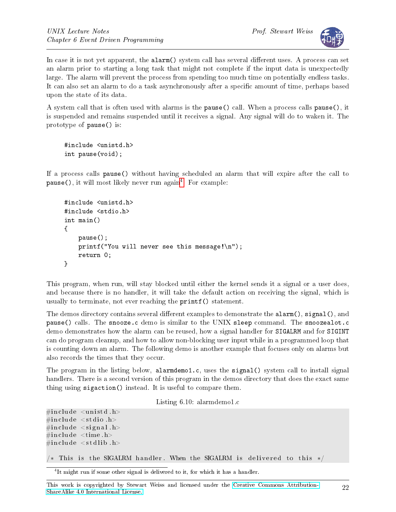

In case it is not yet apparent, the  $\text{alarm}()$  system call has several different uses. A process can set an alarm prior to starting a long task that might not complete if the input data is unexpectedly large. The alarm will prevent the process from spending too much time on potentially endless tasks. It can also set an alarm to do a task asynchronously after a specific amount of time, perhaps based upon the state of its data.

A system call that is often used with alarms is the pause() call. When a process calls pause(), it is suspended and remains suspended until it receives a signal. Any signal will do to waken it. The prototype of pause() is:

#include <unistd.h> int pause(void);

If a process calls pause() without having scheduled an alarm that will expire after the call to pause(), it will most likely never run again<sup>[4](#page-21-0)</sup>. For example:

```
#include <unistd.h>
#include <stdio.h>
int main()
{
    pause();
    printf("You will never see this message!\n");
    return 0;
}
```
This program, when run, will stay blocked until either the kernel sends it a signal or a user does, and because there is no handler, it will take the default action on receiving the signal, which is usually to terminate, not ever reaching the printf() statement.

The demos directory contains several different examples to demonstrate the  $\text{alarm}()$ ,  $\text{signal}()$ , and pause() calls. The snooze.c demo is similar to the UNIX sleep command. The snoozealot.c demo demonstrates how the alarm can be reused, how a signal handler for SIGALRM and for SIGINT can do program cleanup, and how to allow non-blocking user input while in a programmed loop that is counting down an alarm. The following demo is another example that focuses only on alarms but also records the times that they occur.

The program in the listing below, alarmdemo1.c, uses the signal() system call to install signal handlers. There is a second version of this program in the demos directory that does the exact same thing using sigaction() instead. It is useful to compare them.

Listing 6.10: alarmdemo1.c

```
\#\mathrm{include}\ <\mathrm{unist}\ \mathrm{d} \, . h>\#\texttt{include}\ <\texttt{stdio} .h>
\#\texttt{include}\ <\texttt{signal} .h>
\#\texttt{include}\ =\ \times \texttt{time} . h>\# \hbox{\rm include\,} <stdlib.h>
/* This is the SIGALRM handler. When the SIGALRM is delivered to this */
```
<span id="page-21-0"></span>4 It might run if some other signal is delivered to it, for which it has a handler.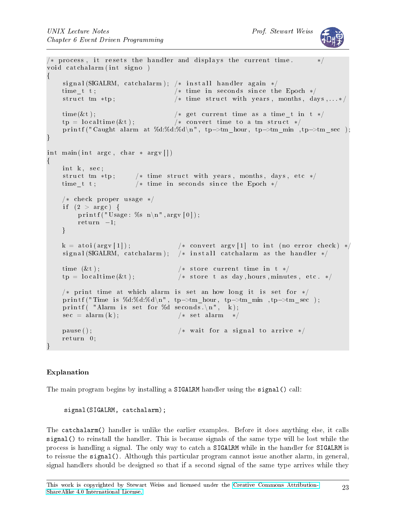

```
/* process, it resets the handler and displays the current time. */
void catchalarm (int signo)
{
   signal (SIGALRM, catchalarm); /* install handler again */
   time t t ; /* time in seconds since the Epoch */struct tm *tp; /* time struct with years, months, days,...*/time (\& t); \qquad \qquad /* get current time as a time t in t */
   tp = localtime(\& t); /* convert time to a tm struct */
   printf ("Caught alarm at %d:%d:%d\n", tp->tm_hour, tp->tm_min ,tp->tm_sec );
}
int main (int argc, char * argv [])
{
   int k, sec;struct tm *tp; /* time struct with years, months, days, etc */
   time t t; /* time in seconds since the Epoch *//* check proper usage */
   if (2 > \text{argc}) {
       printf ("Usage: %s n \n\cdot n", argv [0]);
       r et urn -1;
   }
   k = \text{atoi}(\arg v[1]); /* convert argv [1] to int (no error check) */
   signal (SIGALRM, catchalarm); /* install catchalarm as the handler */time (kt); * store current time in t */tp = localtime(<math>\& t</math>); /* store t as day, hours, minutes, etc. */
   /* print time at which alarm is set an how long it is set for */printf ("Time is %d:%d:%d\n", tp->tm_hour, tp->tm_min , tp->tm_sec );
   printf ("Alarm is set for %d seconds.\langle n^{\pi}, k \rangle;
   \sec = \text{alarm}(k); /* set alarm */
   pause (); /* wait for a signal to arrive */r et urn 0;
}
```
#### Explanation

The main program begins by installing a SIGALRM handler using the signal() call:

signal(SIGALRM, catchalarm);

The catchalarm() handler is unlike the earlier examples. Before it does anything else, it calls signal() to reinstall the handler. This is because signals of the same type will be lost while the process is handling a signal. The only way to catch a SIGALRM while in the handler for SIGALRM is to reissue the signal(). Although this particular program cannot issue another alarm, in general, signal handlers should be designed so that if a second signal of the same type arrives while they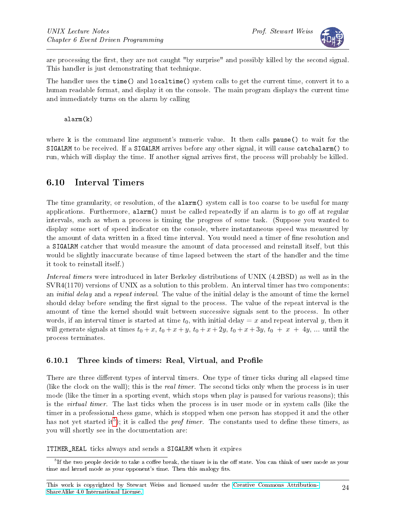

are processing the first, they are not caught "by surprise" and possibly killed by the second signal. This handler is just demonstrating that technique.

The handler uses the time() and localtime() system calls to get the current time, convert it to a human readable format, and display it on the console. The main program displays the current time and immediately turns on the alarm by calling

alarm(k)

where k is the command line argument's numeric value. It then calls **pause**() to wait for the SIGALRM to be received. If a SIGALRM arrives before any other signal, it will cause catchalarm() to run, which will display the time. If another signal arrives first, the process will probably be killed.

## 6.10 Interval Timers

The time granularity, or resolution, of the alarm() system call is too coarse to be useful for many applications. Furthermore,  $\text{alarm}()$  must be called repeatedly if an alarm is to go off at regular intervals, such as when a process is timing the progress of some task. (Suppose you wanted to display some sort of speed indicator on the console, where instantaneous speed was measured by the amount of data written in a fixed time interval. You would need a timer of fine resolution and a SIGALRM catcher that would measure the amount of data processed and reinstall itself, but this would be slightly inaccurate because of time lapsed between the start of the handler and the time it took to reinstall itself.)

Interval timers were introduced in later Berkeley distributions of UNIX (4.2BSD) as well as in the SVR4(1170) versions of UNIX as a solution to this problem. An interval timer has two components: an *initial delay* and a repeat interval. The value of the initial delay is the amount of time the kernel should delay before sending the first signal to the process. The value of the repeat interval is the amount of time the kernel should wait between successive signals sent to the process. In other words, if an interval timer is started at time  $t_0$ , with initial delay = x and repeat interval y, then it will generate signals at times  $t_0 + x$ ,  $t_0 + x + y$ ,  $t_0 + x + 2y$ ,  $t_0 + x + 3y$ ,  $t_0 + x + 4y$ , ... until the process terminates.

#### 6.10.1 Three kinds of timers: Real, Virtual, and Profile

There are three different types of interval timers. One type of timer ticks during all elapsed time (like the clock on the wall); this is the *real timer*. The second ticks only when the process is in user mode (like the timer in a sporting event, which stops when play is paused for various reasons); this is the virtual timer. The last ticks when the process is in user mode or in system calls (like the timer in a professional chess game, which is stopped when one person has stopped it and the other has not yet started it<sup>[5](#page-23-0)</sup>); it is called the *prof timer*. The constants used to define these timers, as you will shortly see in the documentation are:

ITIMER\_REAL ticks always and sends a SIGALRM when it expires

<span id="page-23-0"></span> $^5$ If the two people decide to take a coffee break, the timer is in the off state. You can think of user mode as your time and kernel mode as your opponent's time. Then this analogy fits.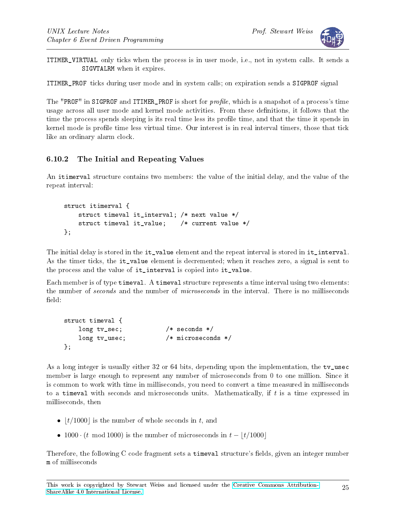

ITIMER\_VIRTUAL only ticks when the process is in user mode, i.e., not in system calls. It sends a SIGVTALRM when it expires.

ITIMER\_PROF ticks during user mode and in system calls; on expiration sends a SIGPROF signal

The "PROF" in SIGPROF and ITIMER\_PROF is short for *profile*, which is a snapshot of a process's time usage across all user mode and kernel mode activities. From these denitions, it follows that the time the process spends sleeping is its real time less its profile time, and that the time it spends in kernel mode is profile time less virtual time. Our interest is in real interval timers, those that tick like an ordinary alarm clock.

#### 6.10.2 The Initial and Repeating Values

An itimerval structure contains two members: the value of the initial delay, and the value of the repeat interval:

```
struct itimerval {
    struct timeval it_interval; /* next value */
    struct timeval it_value; /* current value */
};
```
The initial delay is stored in the it\_value element and the repeat interval is stored in it\_interval. As the timer ticks, the it\_value element is decremented; when it reaches zero, a signal is sent to the process and the value of it\_interval is copied into it\_value.

Each member is of type timeval. A timeval structure represents a time interval using two elements: the number of seconds and the number of microseconds in the interval. There is no milliseconds field:

```
struct timeval {
   long tv_sec; /* seconds */
   long tv_usec; /* microseconds */
};
```
As a long integer is usually either 32 or 64 bits, depending upon the implementation, the tv\_usec member is large enough to represent any number of microseconds from 0 to one million. Since it is common to work with time in milliseconds, you need to convert a time measured in milliseconds to a timeval with seconds and microseconds units. Mathematically, if  $t$  is a time expressed in milliseconds, then

- $|t/1000|$  is the number of whole seconds in t, and
- 1000 · (t mod 1000) is the number of microseconds in  $t |t/1000|$

Therefore, the following C code fragment sets a **timeval** structure's fields, given an integer number m of milliseconds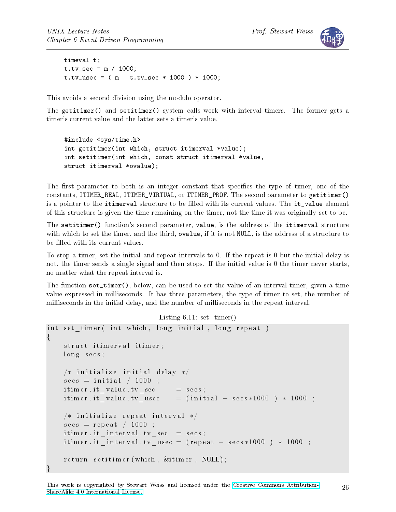

timeval t;  $t.tv\_sec = m / 1000;$  $t.tv\_usec = (m - t.tv\_sec * 1000) * 1000;$ 

This avoids a second division using the modulo operator.

The getitimer() and setitimer() system calls work with interval timers. The former gets a timer's current value and the latter sets a timer's value.

```
#include <sys/time.h>
int getitimer(int which, struct itimerval *value);
int setitimer(int which, const struct itimerval *value,
struct itimerval *ovalue);
```
The first parameter to both is an integer constant that specifies the type of timer, one of the constants, ITIMER\_REAL, ITIMER\_VIRTUAL, or ITIMER\_PROF. The second parameter to getitimer() is a pointer to the itimerval structure to be filled with its current values. The it\_value element of this structure is given the time remaining on the timer, not the time it was originally set to be.

The setitimer() function's second parameter, value, is the address of the itimerval structure with which to set the timer, and the third, ovalue, if it is not NULL, is the address of a structure to be filled with its current values.

To stop a timer, set the initial and repeat intervals to 0. If the repeat is 0 but the initial delay is not, the timer sends a single signal and then stops. If the initial value is 0 the timer never starts, no matter what the repeat interval is.

The function set\_timer(), below, can be used to set the value of an interval timer, given a time value expressed in milliseconds. It has three parameters, the type of timer to set, the number of milliseconds in the initial delay, and the number of milliseconds in the repeat interval.

Listing  $6.11$ : set timer()

```
int set timer ( int which, long initial, long repeat )
{
    struct itimerval itimer;
    long secs;
    /* initialize initial delay */
    \text{secs} = \text{initial} / 1000;
    itimer it value tv sec = secs;
    itimer it value tv usec = (initial - secs *1000 ) * 1000 ;
    /* initialize repeat interval */\sec s = \text{repeat} / 1000;
    itimer. it _ interval. tv _ sec = secs;
    itimer it interval tv usec = ( repeat – secs *1000 ) * 1000 ;
    return setitimer (which, &itimer, NULL);
}
```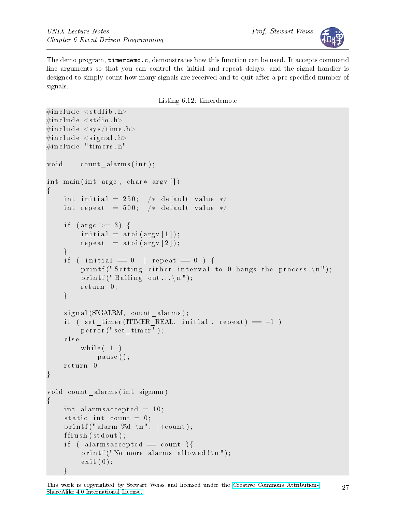

The demo program, timerdemo.c, demonstrates how this function can be used. It accepts command line arguments so that you can control the initial and repeat delays, and the signal handler is designed to simply count how many signals are received and to quit after a pre-specified number of signals.

Listing 6.12: timerdemo.c

```
\#\texttt{include}\ < \texttt{stdlib} .h>\#\texttt{include}\ <\!\!\texttt{stdio}\xspace .h>\#\mathrm{in} \, \mathrm{cl} \, \mathrm{u} \, \mathrm{d} \, \mathrm{e} \mid <sys/time.h>\#\texttt{include}\ <\!\!\mathit{signal}\ .\ \texttt{h}\!\!>\#\texttt{include} "timers.h"
void count alarms (int);
int main (int argc, char* argv ||)
{
     int initial = 250; /* default value */
     int repeat = 500; /* default value */
     if (\text{arg } c \geq 3) {
          initial = \text{atoi}(\arg v \mid 1);
          re p e a t = atoi(argv[2]);
     }
     if ( initial = 0 || repeat = 0 ) {
           printf ("Setting either interval to 0 hangs the process. \n\cdot \mathbf{n}");
           printf ("Bailing out... \n");
          return 0;}
     signal (SIGALRM, count alarms);
     if ( set timer (ITIMER REAL, initial, repeat ) == -1 )
          \text{perror}("set time r");e l s e
          while (1)pause ( ) ;
     return 0;}
void count alarms (int signum)
{
     int alarmsaccepted = 10;
     static int count = 0;
     printf ("alarm %d \n", ++count);
     fflush (stdout);if ( alarmsaccepted = count ){
           printf ("No more alarms allowed!\langle n" \rangle;
           ext{ext}(0);}
```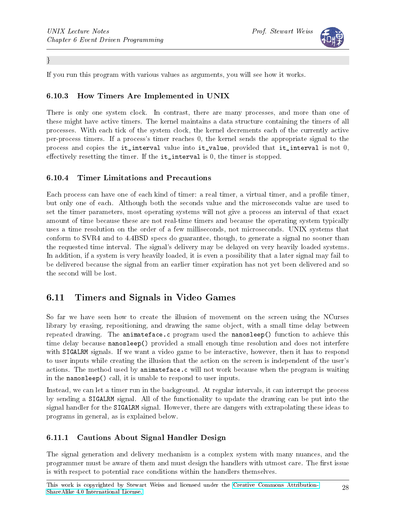

#### }

If you run this program with various values as arguments, you will see how it works.

#### 6.10.3 How Timers Are Implemented in UNIX

There is only one system clock. In contrast, there are many processes, and more than one of these might have active timers. The kernel maintains a data structure containing the timers of all processes. With each tick of the system clock, the kernel decrements each of the currently active per-process timers. If a process's timer reaches 0, the kernel sends the appropriate signal to the process and copies the it\_interval value into it\_value, provided that it\_interval is not 0, effectively resetting the timer. If the  $it_$ interval is 0, the timer is stopped.

#### 6.10.4 Timer Limitations and Precautions

Each process can have one of each kind of timer: a real timer, a virtual timer, and a profile timer, but only one of each. Although both the seconds value and the microseconds value are used to set the timer parameters, most operating systems will not give a process an interval of that exact amount of time because these are not real-time timers and because the operating system typically uses a time resolution on the order of a few milliseconds, not microseconds. UNIX systems that conform to SVR4 and to 4.4BSD specs do guarantee, though, to generate a signal no sooner than the requested time interval. The signal's delivery may be delayed on very heavily loaded systems. In addition, if a system is very heavily loaded, it is even a possibility that a later signal may fail to be delivered because the signal from an earlier timer expiration has not yet been delivered and so the second will be lost.

## 6.11 Timers and Signals in Video Games

So far we have seen how to create the illusion of movement on the screen using the NCurses library by erasing, repositioning, and drawing the same object, with a small time delay between repeated drawing. The animateface.c program used the nanosleep() function to achieve this time delay because nanosleep() provided a small enough time resolution and does not interfere with SIGALRM signals. If we want a video game to be interactive, however, then it has to respond to user inputs while creating the illusion that the action on the screen is independent of the user's actions. The method used by animateface.c will not work because when the program is waiting in the nanosleep() call, it is unable to respond to user inputs.

Instead, we can let a timer run in the background. At regular intervals, it can interrupt the process by sending a SIGALRM signal. All of the functionality to update the drawing can be put into the signal handler for the SIGALRM signal. However, there are dangers with extrapolating these ideas to programs in general, as is explained below.

#### 6.11.1 Cautions About Signal Handler Design

The signal generation and delivery mechanism is a complex system with many nuances, and the programmer must be aware of them and must design the handlers with utmost care. The first issue is with respect to potential race conditions within the handlers themselves.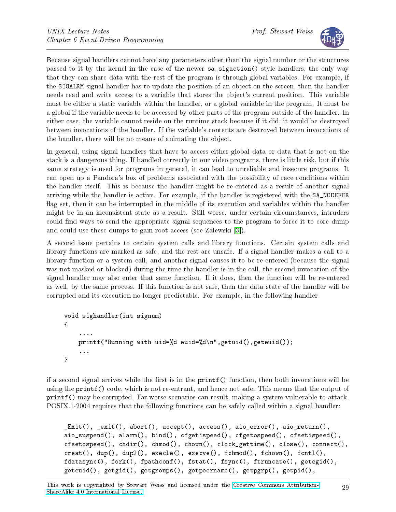

Because signal handlers cannot have any parameters other than the signal number or the structures passed to it by the kernel in the case of the newer sa\_sigaction() style handlers, the only way that they can share data with the rest of the program is through global variables. For example, if the SIGALRM signal handler has to update the position of an object on the screen, then the handler needs read and write access to a variable that stores the object's current position. This variable must be either a static variable within the handler, or a global variable in the program. It must be a global if the variable needs to be accessed by other parts of the program outside of the handler. In either case, the variable cannot reside on the runtime stack because if it did, it would be destroyed between invocations of the handler. If the variable's contents are destroyed between invocations of the handler, there will be no means of animating the object.

In general, using signal handlers that have to access either global data or data that is not on the stack is a dangerous thing. If handled correctly in our video programs, there is little risk, but if this same strategy is used for programs in general, it can lead to unreliable and insecure programs. It can open up a Pandora's box of problems associated with the possibility of race conditions within the handler itself. This is because the handler might be re-entered as a result of another signal arriving while the handler is active. For example, if the handler is registered with the SA\_NODEFER flag set, then it can be interrupted in the middle of its execution and variables within the handler might be in an inconsistent state as a result. Still worse, under certain circumstances, intruders could find ways to send the appropriate signal sequences to the program to force it to core dump and could use these dumps to gain root access (see Zalewski [\[3\]](#page-51-0)).

A second issue pertains to certain system calls and library functions. Certain system calls and library functions are marked as safe, and the rest are unsafe. If a signal handler makes a call to a library function or a system call, and another signal causes it to be re-entered (because the signal was not masked or blocked) during the time the handler is in the call, the second invocation of the signal handler may also enter that same function. If it does, then the function will be re-entered as well, by the same process. If this function is not safe, then the data state of the handler will be corrupted and its execution no longer predictable. For example, in the following handler

```
void sighandler(int signum)
{
    ....
    printf("Running with uid=%d euid=%d\n",getuid(),geteuid());
    ...
}
```
if a second signal arrives while the first is in the  $print()$  function, then both invocations will be using the printf() code, which is not re-entrant, and hence not safe. This means that the output of printf() may be corrupted. Far worse scenarios can result, making a system vulnerable to attack. POSIX.1-2004 requires that the following functions can be safely called within a signal handler:

```
_Exit(), _exit(), abort(), accept(), access(), aio_error(), aio_return(),
aio_suspend(), alarm(), bind(), cfgetispeed(), cfgetospeed(), cfsetispeed(),
cfsetospeed(), chdir(), chmod(), chown(), clock_gettime(), close(), connect(),
creat(), dup(), dup2(), execle(), execve(), fchmod(), fchown(), fcntl(),
fdatasync(), fork(), fpathconf(), fstat(), fsync(), ftruncate(), getegid(),
geteuid(), getgid(), getgroups(), getpeername(), getpgrp(), getpid(),
```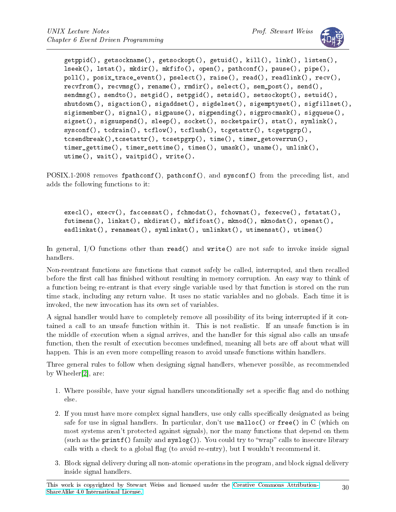

```
getppid(), getsockname(), getsockopt(), getuid(), kill(), link(), listen(),
lseek(), lstat(), mkdir(), mkfifo(), open(), pathconf(), pause(), pipe(),
poll(), posix_trace_event(), pselect(), raise(), read(), readlink(), recv(),
recvfrom(), recvmsg(), rename(), rmdir(), select(), sem_post(), send(),
sendmsg(), sendto(), setgid(), setpgid(), setsid(), setsockopt(), setuid(),
shutdown(), sigaction(), sigaddset(), sigdelset(), sigemptyset(), sigfillset(),
sigismember(), signal(), sigpause(), sigpending(), sigprocmask(), sigqueue(),
sigset(), sigsuspend(), sleep(), socket(), socketpair(), stat(), symlink(),
sysconf(), tcdrain(), tcflow(), tcflush(), tcgetattr(), tcgetpgrp(),
tcsendbreak(),tcsetattr(), tcsetpgrp(), time(), timer_getoverrun(),
timer_gettime(), timer_settime(), times(), umask(), uname(), unlink(),
utime(), wait(), waitpid(), write().
```
POSIX.1-2008 removes fpathconf(), pathconf(), and sysconf() from the preceding list, and adds the following functions to it:

execl(), execv(), faccessat(), fchmodat(), fchownat(), fexecve(), fstatat(), futimens(), linkat(), mkdirat(), mkfifoat(), mknod(), mknodat(), openat(), eadlinkat(), renameat(), symlinkat(), unlinkat(), utimensat(), utimes()

In general,  $I/O$  functions other than read() and write() are not safe to invoke inside signal handlers.

Non-reentrant functions are functions that cannot safely be called, interrupted, and then recalled before the first call has finished without resulting in memory corruption. An easy way to think of a function being re-entrant is that every single variable used by that function is stored on the run time stack, including any return value. It uses no static variables and no globals. Each time it is invoked, the new invocation has its own set of variables.

A signal handler would have to completely remove all possibility of its being interrupted if it contained a call to an unsafe function within it. This is not realistic. If an unsafe function is in the middle of execution when a signal arrives, and the handler for this signal also calls an unsafe function, then the result of execution becomes undefined, meaning all bets are off about what will happen. This is an even more compelling reason to avoid unsafe functions within handlers.

Three general rules to follow when designing signal handlers, whenever possible, as recommended by Wheeler[\[2\]](#page-51-1), are:

- 1. Where possible, have your signal handlers unconditionally set a specific flag and do nothing else.
- 2. If you must have more complex signal handlers, use only calls specifically designated as being safe for use in signal handlers. In particular, don't use malloc() or free() in C (which on most systems aren't protected against signals), nor the many functions that depend on them (such as the printf () family and  $syslog()$ ). You could try to "wrap" calls to insecure library calls with a check to a global flag (to avoid re-entry), but I wouldn't recommend it.
- 3. Block signal delivery during all non-atomic operations in the program, and block signal delivery inside signal handlers.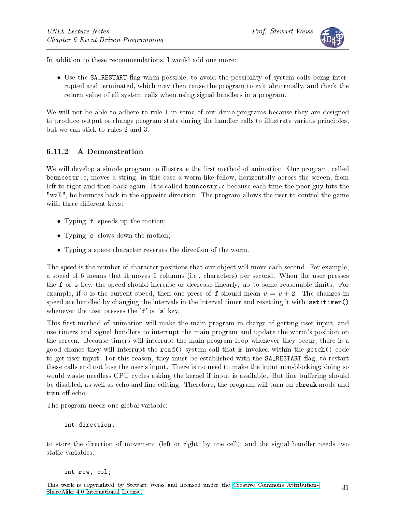

In addition to these recommendations, I would add one more:

• Use the SA\_RESTART flag when possible, to avoid the possibility of system calls being interrupted and terminated, which may then cause the program to exit abnormally, and check the return value of all system calls when using signal handlers in a program.

We will not be able to adhere to rule 1 in some of our demo programs because they are designed to produce output or change program state during the handler calls to illustrate various principles, but we can stick to rules 2 and 3.

#### 6.11.2 A Demonstration

We will develop a simple program to illustrate the first method of animation. Our program, called bouncestr.c, moves a string, in this case a worm-like fellow, horizontally across the screen, from left to right and then back again. It is called bouncestr.c because each time the poor guy hits the "wall", he bounces back in the opposite direction. The program allows the user to control the game with three different keys:

- Typing 'f' speeds up the motion;
- Typing 's' slows down the motion:
- Typing a space character reverses the direction of the worm.

The *speed* is the number of character positions that our object will move each second. For example, a speed of 6 means that it moves 6 columns (i.e., characters) per second. When the user presses the f or s key, the speed should increase or decrease linearly, up to some reasonable limits. For example, if v is the current speed, then one press of f should mean  $v = v + 2$ . The changes in speed are handled by changing the intervals in the interval timer and resetting it with setitimer() whenever the user presses the 'f' or 's' key.

This first method of animation will make the main program in charge of getting user input, and use timers and signal handlers to interrupt the main program and update the worm's position on the screen. Because timers will interrupt the main program loop whenever they occur, there is a good chance they will interrupt the read() system call that is invoked within the getch() code to get user input. For this reason, they must be established with the SA\_RESTART flag, to restart these calls and not lose the user's input. There is no need to make the input non-blocking; doing so would waste needless CPU cycles asking the kernel if input is available. But line buffering should be disabled, as well as echo and line-editing. Therefore, the program will turn on cbreak mode and turn off echo.

The program needs one global variable:

int direction;

to store the direction of movement (left or right, by one cell), and the signal handler needs two static variables:

int row, col;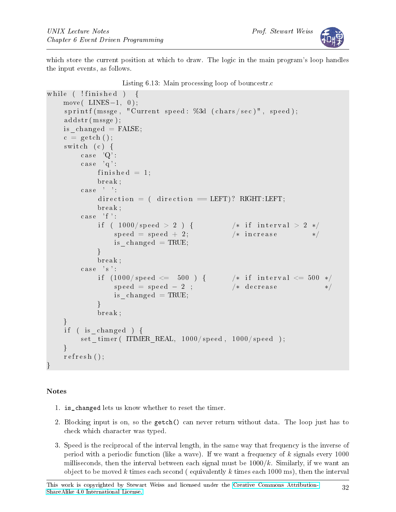

which store the current position at which to draw. The logic in the main program's loop handles the input events, as follows.

Listing 6.13: Main processing loop of bouncestr.c

```
while ( ! finished ) {
          move( LINES-1, 0 ;
           sprint f (msge, "Current speed: %3d (chars/sec)", speed);addstr (mssge);is changed = FALSE;
          c = getch();
          switch (c) {
                     case Q' :
                      case 'q :
                                finished = 1;
                                break;
                      case ' ':
                                \text{direction} = (\text{direction} == \text{LEFT})? RIGHT:LEFT;
                                 break;
                      case 'f':
                                  if ( 1000/\,\mathrm{speed}\,>\,2 ) { $\phantom{.} $|\ast$} if interval > 2 */\texttt{speed}~=~\texttt{speed}~+~2\,; \qquad \qquad \texttt{\qquad \qquad \texttt{\qquad \qquad \texttt{\qquad \qquad \texttt{\qquad \qquad \texttt{\qquad \qquad \texttt{\qquad \qquad \texttt{\qquad \qquad \texttt{\qquad \qquad \texttt{\qquad \qquad \texttt{\qquad \qquad \texttt{\qquad \qquad \texttt{\qquad \qquad \texttt{\qquad \qquad \texttt{\qquad \qquad \texttt{\qquad \qquad \texttt{\qquad \qquad \texttt{\qquad \qquad \texttt{\qquad \qquad \texttt{\qquad \qquad \texttt{\qquad \qquad \texttt{\qquad \qquad \texttt{\is changed = TRUE;
                                 }
                                break;
                      case 's':if (1000/\,\mathrm{speed} \,<=\,~500 ) { \qquad /* if interval <=\,500 */
                                            \texttt{speed}~=~\texttt{speed}~-~2~\texttt{;} \qquad \qquad \texttt{\qquad \qquad \texttt{\qquad \qquad \texttt{\qquad \qquad \texttt{\qquad \qquad \texttt{\qquad \qquad \texttt{\qquad \qquad \texttt{\qquad \qquad \texttt{\qquad \qquad \texttt{\qquad \qquad \texttt{\qquad \qquad \texttt{\qquad \qquad \texttt{\qquad \qquad \texttt{\qquad \qquad \texttt{\qquad \qquad \texttt{\qquad \qquad \texttt{\qquad \qquad \texttt{\qquad \qquad \texttt{\qquad \qquad \texttt{\qquad \qquad \texttt{\qquad \qquad \texttt{\qquad \qquad \is changed = TRUE;
                                 }
                                 break;
           }
           if ( is changed ) {
                     set timer ( ITIMER REAL, 1000/\text{speed} , 1000/\text{speed} );
           }
          refresh();
}
```
Notes

- 1. is\_changed lets us know whether to reset the timer.
- 2. Blocking input is on, so the getch() can never return without data. The loop just has to check which character was typed.
- 3. Speed is the reciprocal of the interval length, in the same way that frequency is the inverse of period with a periodic function (like a wave). If we want a frequency of k signals every 1000 milliseconds, then the interval between each signal must be  $1000/k$ . Similarly, if we want an object to be moved k times each second (equivalently k times each 1000 ms), then the interval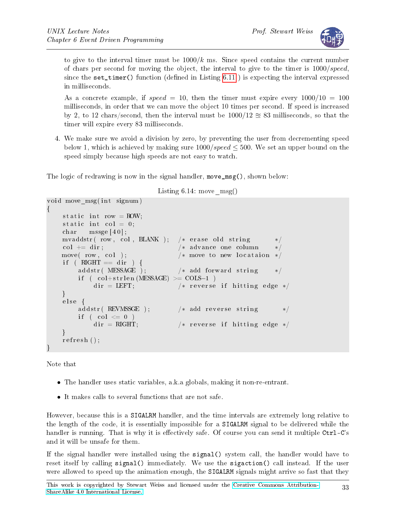

to give to the interval timer must be  $1000/k$  ms. Since speed contains the current number of chars per second for moving the object, the interval to give to the timer is  $1000/\text{speed}$ . since the set\_timer() function (defined in Listing  $6.11$ ) is expecting the interval expressed in milliseconds.

As a concrete example, if  $speed = 10$ , then the timer must expire every  $1000/10 = 100$ milliseconds, in order that we can move the object 10 times per second. If speed is increased by 2, to 12 chars/second, then the interval must be  $1000/12 \approx 83$  milliseconds, so that the timer will expire every 83 milliseconds.

4. We make sure we avoid a division by zero, by preventing the user from decrementing speed below 1, which is achieved by making sure  $1000/\text{speed} \leq 500$ . We set an upper bound on the speed simply because high speeds are not easy to watch.

The logic of redrawing is now in the signal handler, move\_msg(), shown below:

Listing  $6.14:$  move  $\text{msg}()$ 

```
void move_msg(int signum)
{
   static int row = ROW;
   static int col = 0;
   char mssge [40];
   mvaddstr (row, col, BLANK); /* erase old string */
   col += dir; /* advance one column
   move (row, col); /* move to new locataion */if (\text{RIGHT} = \text{dir}) {
       addstr( MESSAGE ); /* add forward string **/if ( col+strlen (MESSAGE) >= COLS-1 )
           dir = LEFT; /* reverse if hitting edge */}
   else \{addstr( REVMSSGE ); /* add reverse string */
       if ( col \le 0 )
           dir = RIGHT; /* reverse if hitting edge */}
   r \, \text{eff} \, \text{r} \, \text{sh} \, ( );
}
```
Note that

- The handler uses static variables, a.k.a globals, making it non-re-entrant.
- It makes calls to several functions that are not safe.

However, because this is a SIGALRM handler, and the time intervals are extremely long relative to the length of the code, it is essentially impossible for a SIGALRM signal to be delivered while the handler is running. That is why it is effectively safe. Of course you can send it multiple  $\texttt{Ctrl-C's}$ and it will be unsafe for them.

If the signal handler were installed using the signal() system call, the handler would have to reset itself by calling signal() immediately. We use the sigaction() call instead. If the user were allowed to speed up the animation enough, the SIGALRM signals might arrive so fast that they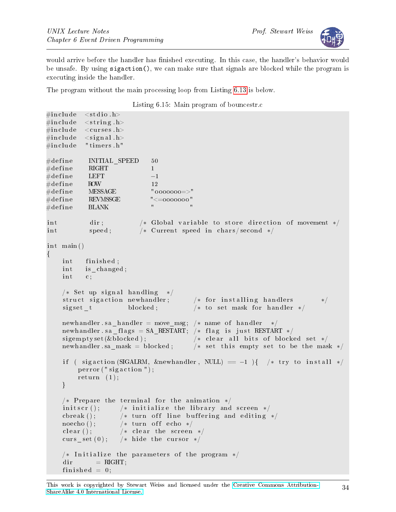

would arrive before the handler has finished executing. In this case, the handler's behavior would be unsafe. By using sigaction(), we can make sure that signals are blocked while the program is executing inside the handler.

The program without the main processing loop from Listing [6.13](#page-31-0) is below.

Listing 6.15: Main program of bouncestr.c

```
\#\texttt{include}\ = <\!\!\mathsf{stdio}\ \ldotp\mathrm{h}\!\!>\#\texttt{include} \langle \texttt{string} | \texttt{h} \rangle\#\texttt{include} \hspace{0.25cm} <\texttt{cures.h}>\#\texttt{include} \hspace{0.3cm} <signal.h>
\#\texttt{include} "timers.h"
\#\text{define} INITIAL SPEED 50
\#\text{define} RIGHT 1
\#\text{define} LEFT -1\#\text{define} ROW 12
\# \text{define} MESSAGE "0000000=>"
\#\text{define} \qquad \text{REVMSSGE} \qquad \qquad \text{``<=ooooooo''}\#\text{define} BLANK "
int dir; /* Global variable to store direction of movement */
int speed; /* Current speed in chars / second */int main()
{
    int finished;
    int is changed;
    int c;
    /* Set up signal handling */struct sigaction newhandler; /* for installing handlers */sigset t blocked; /* to set mask for handler */newhandler . sa_handler = move_msg; /* name of handler */
    newhandler sa_flags = SA\_RESTART; /* flag is just RESTART */
    sigemptyset (& blocked); \rightarrow clear all bits of blocked set */newhandler sa mask = blocked; /* set this empty set to be the mask */if ( sigaction (SIGALRM, &newhandler, NULL) == -1 ){ /* try to install */
        perror ("sigaction");
        return (1);}
    /* Prepare the terminal for the animation */initscr (); \longrightarrow initialize the library and screen */cbreak (); /* turn off line buffering and editing */\text{noecho}(); /* \text{turn off echo } */clear (); /* clear the screen */curs set ( 0 ); /* hide the cursor */
    /* Initialize the parameters of the program */
    \text{dir} = RIGHT;
    finished = 0;
```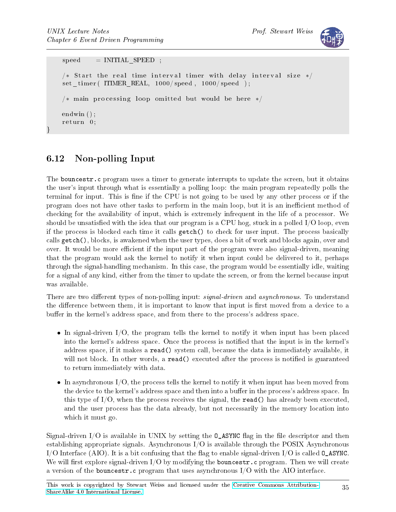

```
speed = INTIAL SPEED ;/* Start the real time interval timer with delay interval size */
set timer ( ITIMER REAL, 1000/\text{speed} , 1000/\text{speed} );
/* main processing loop omitted but would be here */
endwin ( ) ;
r et urn 0;
```
## 6.12 Non-polling Input

}

The bouncestr.c program uses a timer to generate interrupts to update the screen, but it obtains the user's input through what is essentially a polling loop: the main program repeatedly polls the terminal for input. This is fine if the CPU is not going to be used by any other process or if the program does not have other tasks to perform in the main loop, but it is an inefficient method of checking for the availability of input, which is extremely infrequent in the life of a processor. We should be unsatisfied with the idea that our program is a CPU hog, stuck in a polled  $I/O$  loop, even if the process is blocked each time it calls getch() to check for user input. The process basically calls getch(), blocks, is awakened when the user types, does a bit of work and blocks again, over and over. It would be more efficient if the input part of the program were also signal-driven, meaning that the program would ask the kernel to notify it when input could be delivered to it, perhaps through the signal-handling mechanism. In this case, the program would be essentially idle, waiting for a signal of any kind, either from the timer to update the screen, or from the kernel because input was available.

There are two different types of non-polling input: *signal-driven* and *asynchronous*. To understand the difference between them, it is important to know that input is first moved from a device to a buffer in the kernel's address space, and from there to the process's address space.

- In signal-driven I/O, the program tells the kernel to notify it when input has been placed into the kernel's address space. Once the process is notified that the input is in the kernel's address space, if it makes a read() system call, because the data is immediately available, it will not block. In other words, a read() executed after the process is notified is guaranteed to return immediately with data.
- $\bullet$  In asynchronous I/O, the process tells the kernel to notify it when input has been moved from the device to the kernel's address space and then into a buffer in the process's address space. In this type of  $I/O$ , when the process receives the signal, the **read()** has already been executed, and the user process has the data already, but not necessarily in the memory location into which it must go.

Signal-driven  $I/O$  is available in UNIX by setting the  $0$ \_ASYNC flag in the file descriptor and then establishing appropriate signals. Asynchronous I/O is available through the POSIX Asynchronous I/O Interface (AIO). It is a bit confusing that the flag to enable signal-driven  $I/O$  is called  $O\_ASYNC$ . We will first explore signal-driven  $I/O$  by modifying the bouncestr.c program. Then we will create a version of the bouncestr.c program that uses asynchronous I/O with the AIO interface.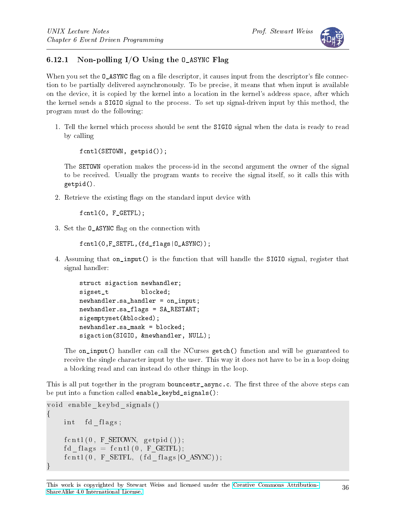

#### 6.12.1 Non-polling  $I/O$  Using the 0\_ASYNC Flag

When you set the  $0_A$ SYNC flag on a file descriptor, it causes input from the descriptor's file connection to be partially delivered asynchronously. To be precise, it means that when input is available on the device, it is copied by the kernel into a location in the kernel's address space, after which the kernel sends a SIGIO signal to the process. To set up signal-driven input by this method, the program must do the following:

1. Tell the kernel which process should be sent the SIGIO signal when the data is ready to read by calling

fcntl(SETOWN, getpid());

The SETOWN operation makes the process-id in the second argument the owner of the signal to be received. Usually the program wants to receive the signal itself, so it calls this with getpid().

2. Retrieve the existing flags on the standard input device with

fcntl(0, F\_GETFL);

3. Set the **0\_ASYNC** flag on the connection with

```
fcntl(0,F_SETFL,(fd_flags|O_ASYNC));
```
4. Assuming that on\_input() is the function that will handle the SIGIO signal, register that signal handler:

```
struct sigaction newhandler;
sigset_t blocked;
newhandler.sa_handler = on_input;
newhandler.sa_flags = SA_RESTART;
sigemptyset(&blocked);
newhandler.sa_mask = blocked;
sigaction(SIGIO, &newhandler, NULL);
```
The on\_input() handler can call the NCurses getch() function and will be guaranteed to receive the single character input by the user. This way it does not have to be in a loop doing a blocking read and can instead do other things in the loop.

This is all put together in the program bouncestr\_async.c. The first three of the above steps can be put into a function called enable\_keybd\_signals():

```
void enable keybd signals ()
{
    int fd flags;
    f \ncath( 0 , F \nSETOWN, get pid ( ) ) ;fd _{\rm flags} = fcntl(0, F GETFL);
     f \ncntl (0, F_SETFL, (fd_flags | O_ASYNC));}
```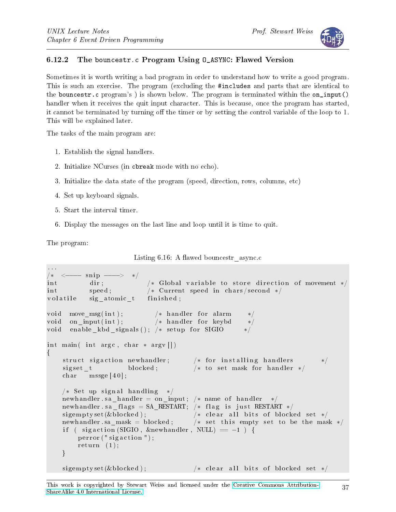#### 6.12.2 The bouncestr.c Program Using O\_ASYNC: Flawed Version

Sometimes it is worth writing a bad program in order to understand how to write a good program. This is such an exercise. The program (excluding the #includes and parts that are identical to the bouncestr.c program's ) is shown below. The program is terminated within the on\_input() handler when it receives the quit input character. This is because, once the program has started, it cannot be terminated by turning off the timer or by setting the control variable of the loop to 1. This will be explained later.

The tasks of the main program are:

- 1. Establish the signal handlers.
- 2. Initialize NCurses (in cbreak mode with no echo).
- 3. Initialize the data state of the program (speed, direction, rows, columns, etc)
- 4. Set up keyboard signals.
- 5. Start the interval timer.
- 6. Display the messages on the last line and loop until it is time to quit.

The program:

Listing  $6.16$ : A flawed bouncestr async.c

```
. . .
/* <—— snip ——> */
int dir; /* Global variable to store direction of movement */
int speed; /* Current speed in chars/second */
volatile sig\_atomic_t finished;
void move msg ( int ) ; / * h andler for alarm
void on input ( int ) ; /* h and ler for keybd
void enable_kbd_signals(); /* setup for SIGIO
int main( int argc, char * argv[])
{
   struct sigaction newhandler: /* for installing handlers */sigset t blocked; /* to set mask for handler */char mssge [40];
   /* Set up signal handling */newhandler sa handler = on input; /* name of handler */
   newhandler sa_flags = SA_RESTART; /* flag is just RESTART */
   sigemptyset (& blocked); \frac{1}{2} clear all bits of blocked set */
   newhandler sa_mask = blocked; /* set this empty set to be the mask */if ( sigaction (SIGIO, &newhandler, NULL) == -1 ) {
       perror ("sigaction");
       return (1);}
   sigemptyset (& blocked); \rightarrow clear all bits of blocked set */
```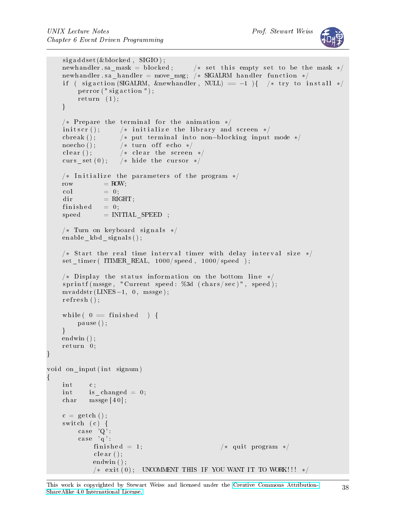}

{



```
signal s e t (& blocked, SIGIO);newhandler sa_mask = blocked; /* set this empty set to be the mask */newhandler .sa handler = move msg; /* SIGALRM handler function */
    if ( sigaction (SIGALRM, &newhandler, NULL) == -1 ){ /* try to install */
        perror("sigmoid");
        return (1);}
    /* Prepare the terminal for the animation */initscr (); \sqrt{\frac{1}{\pi}} initialize the library and screen */
    cbreak (); /* put terminal into non-blocking input mode */
    \text{noecho}(); /* \text{turn off echo } */\text{clear}( ); /* \text{clear the screen } */curs set ( 0 ); /* hide the cursor */
    /* Initialize the parameters of the program */
    row = ROW;
    col = 0;
    \text{dir} = RIGHT;
    finished = 0;
    speed = INTIAL SPEED ;/* Turn on keyboard signals */
    enable kbd signals ();
    /* Start the real time interval timer with delay interval size */
    set timer ( ITIMER REAL, 1000/\text{speed} , 1000/\text{speed} );
    /* Display the status information on the bottom line */
    sprintf (mssge, "Current speed: %3d (chars/sec)", speed);
    m\nu = d\,str(LINES-1, 0, msge);refresh();
    while (0 == finished) {
        pause ( ) ;
    }
    endwin ( ) ;
    r et urn 0;
void on input ( int signum )
    \int int c;
    int is changed = 0;
    char mssge |40|;
    c = getch();switch (c) {
        \cos e 'Q':
        case 'q':finished = 1; /* quit program */\text{clear}();
            endwin ( ) ;
            /* exit (0); UNCOMMENT THIS IF YOU WANT IT TO WORK!!! */
```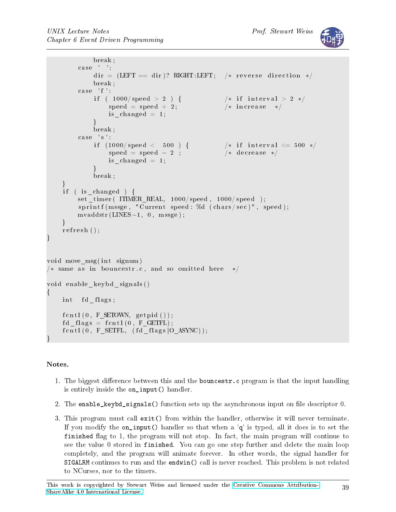

```
break ;
         case '':\text{dir} = (\text{LEFT} == \text{dir})? RIGHT:LEFT; /* reverse direction */
              break ;
         case 'f':
              if ( 1000/\text{speed} > 2 ) { / if interval > 2 */
                  speed = speed + 2; \sqrt{\frac{2}{\pi}} increase \sqrt{\frac{2}{\pi}}is changed = 1;
              }
             break ;
         case 's':
             if (1000/\text{speed} < 500) { * if interval <= 500*/speed = speed - 2 ; /* decrease */is changed = 1;
              }
             break ;
    }
    if ( is changed ) {
         set timer ( ITIMER REAL, 1000/\text{speed} , 1000/\text{speed} );
         sprintf (mssge, "Current speed: %d (chars/sec)", speed);
         m\nu addstr(LINES-1, 0, msge);}
    refresh();
void move_msg(int signum)
/* same as in bouncestr.c, and so omitted here */
void enable keybd signals ()
{
    int fd flags;
    f c n t l (0, F SETOWN, get pid ( ) ;
    fd _{\rm flags} = fcntl(0, F GETFL);
    f \text{cntl}(0, F \text{ SETFL}, ( f d \text{ flags} | O \text{ASYNC} ));}
```
#### Notes.

}

- 1. The biggest difference between this and the bouncestr.c program is that the input handling is entirely inside the on\_input() handler.
- 2. The enable\_keybd\_signals() function sets up the asynchronous input on file descriptor 0.
- 3. This program must call exit() from within the handler, otherwise it will never terminate. If you modify the on\_input() handler so that when a 'q' is typed, all it does is to set the finished flag to 1, the program will not stop. In fact, the main program will continue to see the value 0 stored in finished. You can go one step further and delete the main loop completely, and the program will animate forever. In other words, the signal handler for SIGALRM continues to run and the endwin() call is never reached. This problem is not related to NCurses, nor to the timers.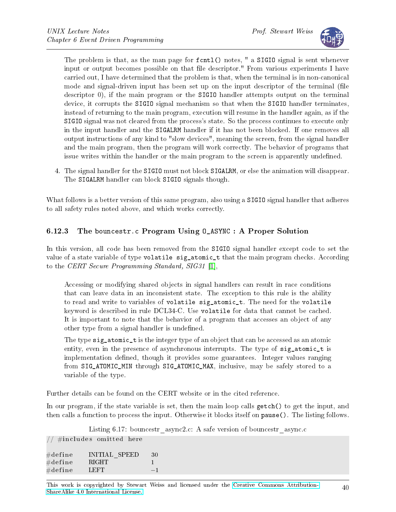

The problem is that, as the man page for fcntl() notes, " a SIGIO signal is sent whenever input or output becomes possible on that file descriptor." From various experiments I have carried out, I have determined that the problem is that, when the terminal is in non-canonical mode and signal-driven input has been set up on the input descriptor of the terminal (file descriptor 0), if the main program or the SIGIO handler attempts output on the terminal device, it corrupts the SIGIO signal mechanism so that when the SIGIO handler terminates, instead of returning to the main program, execution will resume in the handler again, as if the SIGIO signal was not cleared from the process's state. So the process continues to execute only in the input handler and the SIGALRM handler if it has not been blocked. If one removes all output instructions of any kind to "slow devices", meaning the screen, from the signal handler and the main program, then the program will work correctly. The behavior of programs that issue writes within the handler or the main program to the screen is apparently undefined.

4. The signal handler for the SIGIO must not block SIGALRM, or else the animation will disappear. The SIGALRM handler can block SIGIO signals though.

What follows is a better version of this same program, also using a SIGIO signal handler that adheres to all safety rules noted above, and which works correctly.

#### 6.12.3 The bouncestr.c Program Using O\_ASYNC : A Proper Solution

In this version, all code has been removed from the SIGIO signal handler except code to set the value of a state variable of type volatile sig\_atomic\_t that the main program checks. According to the CERT Secure Programming Standard, SIG31 [\[1\]](#page-51-2),

Accessing or modifying shared objects in signal handlers can result in race conditions that can leave data in an inconsistent state. The exception to this rule is the ability to read and write to variables of volatile sig\_atomic\_t. The need for the volatile keyword is described in rule DCL34-C. Use volatile for data that cannot be cached. It is important to note that the behavior of a program that accesses an object of any other type from a signal handler is undefined.

The type sig\_atomic\_t is the integer type of an object that can be accessed as an atomic entity, even in the presence of asynchronous interrupts. The type of sig\_atomic\_t is implementation defined, though it provides some guarantees. Integer values ranging from SIG\_ATOMIC\_MIN through SIG\_ATOMIC\_MAX, inclusive, may be safely stored to a variable of the type.

Further details can be found on the CERT website or in the cited reference.

In our program, if the state variable is set, then the main loop calls getch() to get the input, and then calls a function to process the input. Otherwise it blocks itself on pause(). The listing follows.

| Listing 6.17: bouncestr_async2.c: A safe version of bouncestr_async.c |  |  |  |  |  |  |
|-----------------------------------------------------------------------|--|--|--|--|--|--|
|-----------------------------------------------------------------------|--|--|--|--|--|--|

| $\#\mathrm{d}\, \mathrm{efi}\, \mathrm{n}\, \mathrm{e}$ | INITIAL SPEED | 30   |
|---------------------------------------------------------|---------------|------|
| $\#\mathrm{d}\, \mathrm{efi}\, \mathrm{n}\, \mathrm{e}$ | <b>RIGHT</b>  |      |
| $\# \mathrm{d} \, \mathrm{efin} \, \mathrm{e}$          | LEFT          | $-1$ |
|                                                         |               |      |

 $//$  #includes omitted here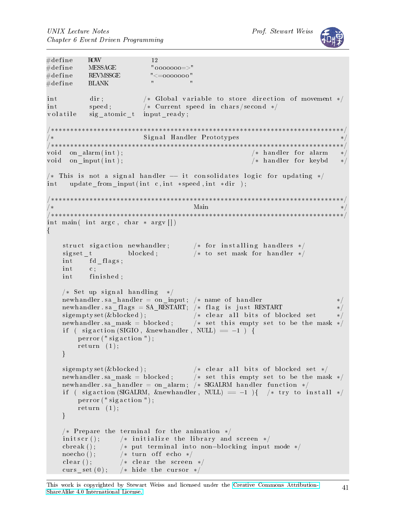

```
\#\text{define} ROW 12
\#\text{define} MESSAGE "0000000=>"
#define        REVMSSGE              "<=ooooooo"
\#d efine " BLANK"
int dir; / * Global variable to store direction of movement * /\quad \quad \text{speed}\,; \quad \quad \quad \text{/}\ast \text{ Current speed in chars/second } \ast/volatile sig atomic t input ready;
/∗∗∗∗∗∗∗∗∗∗∗∗∗∗∗∗∗∗∗∗∗∗∗∗∗∗∗∗∗∗∗∗∗∗∗∗∗∗∗∗∗∗∗∗∗∗∗∗∗∗∗∗∗∗∗∗∗∗∗∗∗∗∗∗∗∗∗∗∗∗∗∗∗∗∗∗/
/* Signal Handler Prototypes
/∗∗∗∗∗∗∗∗∗∗∗∗∗∗∗∗∗∗∗∗∗∗∗∗∗∗∗∗∗∗∗∗∗∗∗∗∗∗∗∗∗∗∗∗∗∗∗∗∗∗∗∗∗∗∗∗∗∗∗∗∗∗∗∗∗∗∗∗∗∗∗∗∗∗∗∗/
void on alarm ( int ); /* h andler for alarm
void on input ( int ); /* h andler for keybd
/* This is not a signal handler - it consolidates logic for updating */
int update from input ( int c, int *speed, int *dir );
/∗∗∗∗∗∗∗∗∗∗∗∗∗∗∗∗∗∗∗∗∗∗∗∗∗∗∗∗∗∗∗∗∗∗∗∗∗∗∗∗∗∗∗∗∗∗∗∗∗∗∗∗∗∗∗∗∗∗∗∗∗∗∗∗∗∗∗∗∗∗∗∗∗∗∗∗/
\rightarrow Main ∗/
/∗∗∗∗∗∗∗∗∗∗∗∗∗∗∗∗∗∗∗∗∗∗∗∗∗∗∗∗∗∗∗∗∗∗∗∗∗∗∗∗∗∗∗∗∗∗∗∗∗∗∗∗∗∗∗∗∗∗∗∗∗∗∗∗∗∗∗∗∗∗∗∗∗∗∗∗/
int main ( int argc, char * argv [])
{
   struct sigaction newhandler; /* for installing handlers */
   sigset t blocked; /* to set mask for handler */int fd flags;int c;
   int finished;
   /* Set up signal handling */newhandler sa_handler = on_input ; /* name of h andler */*
   newhandler : sa_{I} lags = SA_{RESTART;  # flag is just RESTART  # /sigenptyst (& blocked); /* clear all bits of blocked set */
    newhandler sa_mask = blocked; \qquad /* set this empty set to be the mask */
    if ( sigaction(SIGIO, &newhandler, NULL) == -1 ) {
       perror ("sigaction");
       r et urn (1);
   }
    sigemptyset(&blocked); /* clear all bits of blocked set */
    newhandler sa_mask = blocked; \qquad /* set this empty set to be the mask */newhandler sa_handler = on alarm; /* SIGALRM h andler function */
   if ( sigaction (SIGALRM, &newhandler, NULL) == -1 ){ /* try to install */
       perror ("sigaction");
       return (1);}
   /* Prepare the terminal for the animation */initscr (); /* initialize the library and screen */cbreak (); /* put terminal into non-blocking input mode */
   noecho (); /* turn off echo */
   \text{clear}( ); \frac{1}{2} \text{clear} the screen \frac{1}{2}curs\_set(0); /* hide the cursor */
```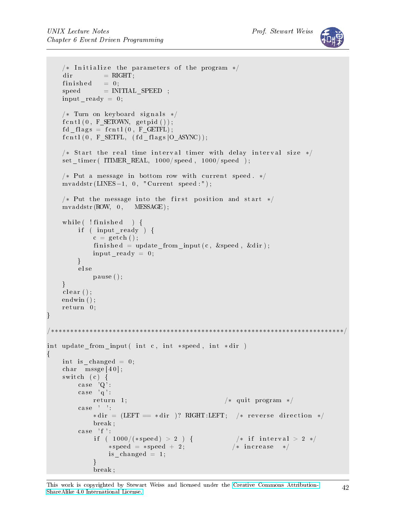```
/* Initialize the parameters of the program */
    \text{dir} = RIGHT;
    finished = 0;
    speed = INTIAL SPEED ;input ready = 0;
    /* Turn on keyboard signals */
    f c n t l (0, F SETOWN, get pid ( ) ;
    fd_{flags = fcntl(0, F_{GRFL});f c n t l (0, F SETFL, (f d flags |O ASYNC) );/* Start the real time interval timer with delay interval size */
    set timer ( ITIMER REAL, 1000/\text{speed} , 1000/\text{speed} );
    /* Put a message in bottom row with current speed. */
    m\nu = d\, \text{str} \left( \text{LINES} - 1, 0, "Current speed : " \right);/* Put the message into the first position and start */m\nu \text{addstr}(\text{ROW}, 0, \text{MESSAGE});while (! finished ) {
        if ( input_ready ) {
            c = getch();finished = update_from_input(c, &speed, &dir);
            input ready = 0;
        }
        e l s e
            pause ( ) ;
    }
    \text{clear}();
    endwin ( ) ;
    r et urn 0;
}
         /∗∗∗∗∗∗∗∗∗∗∗∗∗∗∗∗∗∗∗∗∗∗∗∗∗∗∗∗∗∗∗∗∗∗∗∗∗∗∗∗∗∗∗∗∗∗∗∗∗∗∗∗∗∗∗∗∗∗∗∗∗∗∗∗∗∗∗∗∗∗∗∗∗∗∗∗/
int update from input ( int c, int * speed, int * dir )
\{int is changed = 0;
    char mssge[40];
    switch (c) {
        \cos e 'Q':
        case 'q':return 1; /* quit program */case ' '
            *dir = (LEFT == *dir)? RIGHT:LEFT; /* reverse direction */break ;
        case 'f':
            if ( 1000/ (*speed ) > 2 ) { / if interval > 2 */
                *speed = *speed + 2; /* increase */
                 is changed = 1;
             }
             break ;
```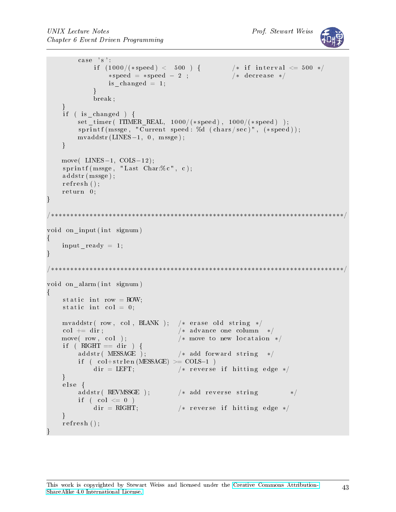}

 $\{$ 

}

{

}

```
case 's':if (1000/(*speed) < 500) { /* if interval <= 500 */*speed = *speed - 2 ; /* decrease */
                 is changed = 1;
             }
             break ;
    }
    if ( is changed ) \{set timer ( ITIMER REAL, 1000 / (*speed), 1000 / (*speed) );
        sprintf (mssge, "Current speed: %d (chars/sec)", (*speed));
        m\nu addstr(LINES-1, 0, msge);}
    move (LINKES-1, COLS-12);
    sprint(f (msge, "Last Char: %c", c);addstr(mssge);r \, \text{eff} \, \text{r} \, \text{sh} \, ( );
    r et urn 0;
/∗∗∗∗∗∗∗∗∗∗∗∗∗∗∗∗∗∗∗∗∗∗∗∗∗∗∗∗∗∗∗∗∗∗∗∗∗∗∗∗∗∗∗∗∗∗∗∗∗∗∗∗∗∗∗∗∗∗∗∗∗∗∗∗∗∗∗∗∗∗∗∗∗∗∗∗/
void on input ( int signum )
    input ready = 1;
/∗∗∗∗∗∗∗∗∗∗∗∗∗∗∗∗∗∗∗∗∗∗∗∗∗∗∗∗∗∗∗∗∗∗∗∗∗∗∗∗∗∗∗∗∗∗∗∗∗∗∗∗∗∗∗∗∗∗∗∗∗∗∗∗∗∗∗∗∗∗∗∗∗∗∗∗/
void on alarm ( int signum )
    static int row = ROW;
    static int col = 0;
    mvaddstr (row, col, BLANK ); /* erase old string */
    col += dir; \frac{1}{4} /* advance one column */
    move (row, col); /* move to new locataion */if (\text{RIGHT} = \text{dir}) {
        addstr( MESSAGE ); /* add forward string * /if ( col+strlen(MESSAGE) >= COLS-1)dir = LEFT; /* reverse if hitting edge */}
    else \{addstr( REVMSSGE ); /* add reverse string */
        if ( col \le 0 )
             \text{dir} = \text{RIGHT}; /* reverse if hitting edge */
    }
    r \, \text{eff} \, \text{r} \, \text{esh} \, ( );
```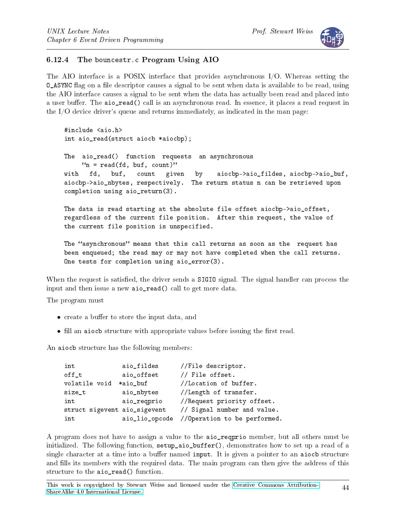

#### 6.12.4 The bouncestr.c Program Using AIO

The AIO interface is a POSIX interface that provides asynchronous I/O. Whereas setting the 0\_ASYNC flag on a file descriptor causes a signal to be sent when data is available to be read, using the AIO interface causes a signal to be sent when the data has actually been read and placed into a user buffer. The aio\_read() call is an asynchronous read. In essence, it places a read request in the I/O device driver's queue and returns immediately, as indicated in the man page:

```
#include <aio.h>
int aio_read(struct aiocb *aiocbp);
The aio_read() function requests an asynchronous
    "n = read(fd, but, count)"with fd, buf, count given by aiocbp->aio_fildes, aiocbp->aio_buf,
aiocbp->aio_nbytes, respectively. The return status n can be retrieved upon
completion using aio_return(3).
The data is read starting at the absolute file offset aiocbp->aio_offset,
regardless of the current file position. After this request, the value of
the current file position is unspecified.
The "asynchronous" means that this call returns as soon as the request has
been enqueued; the read may or may not have completed when the call returns.
```
When the request is satisfied, the driver sends a SIGIO signal. The signal handler can process the input and then issue a new aio\_read() call to get more data.

The program must

 $\bullet$  create a buffer to store the input data, and

One tests for completion using aio\_error(3).

 $\bullet$  fill an aiocb structure with appropriate values before issuing the first read.

An aiocb structure has the following members:

```
int aio_fildes //File descriptor.
off t aio offset // File offset.
volatile void *aio_buf //Location of buffer.
size_t aio_nbytes //Length of transfer.
int aio_reqprio //Request priority offset.
struct sigevent aio_sigevent // Signal number and value.
int aio_lio_opcode //Operation to be performed.
```
A program does not have to assign a value to the aio\_reqprio member, but all others must be initialized. The following function, setup\_aio\_buffer(), demonstrates how to set up a read of a single character at a time into a buffer named input. It is given a pointer to an aiocb structure and fills its members with the required data. The main program can then give the address of this structure to the aio\_read() function.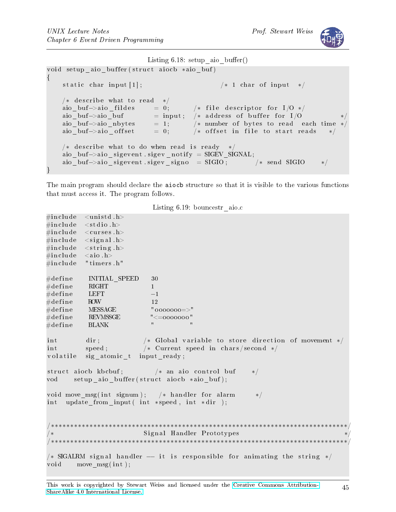

Listing 6.18: setup aio buffer()

```
void setup aio buffer ( struct aiocb * aio buf )
{
    static char input [1]; \frac{1}{2} \frac{1}{2} char of input \frac{1}{2}/* describe what to read */aio bu f->aio fildes = 0; /* file descriptor for I/O */
    aio_buf->aio_buf = input; /* address of buffer for I/Oaio_bu f ->aio_nby tes = 1; /* number of by tes to read each time */
    aio_bu f \rightarrowaio_offset = 0; /* offset in file to start reads */
    /* describe what to do when read is ready */
    aio_bu f−>aio_sig event sigev _notify = SIGEV_SIGNAL;
    aio bu f\rightarrowaio sig ev ent . sig ev sign o = SIGIO; /* send SIGIO */
}
```
The main program should declare the aiocb structure so that it is visible to the various functions that must access it. The program follows.

 $\#\texttt{include}\ =\ \ <\!\!\texttt{unist}\, \mathrm{d} \ .\ \mathrm{h}\!\!>$  $\#\texttt{include}\ =\ <\!\!\texttt{stdio}\ .\ \texttt{h}\!\!>$  $\#\texttt{include} \hspace{0.25cm} <\texttt{cures} \cdot \texttt{h} >$  $\#\texttt{include}\ = <\!\!\mathit{signal}\ .\ \mathit{h}\!\!>$  $\#\texttt{include}$   $\langle$  string .h>  $\#\texttt{include}\ = <\texttt{aio.h}>$  $\#\texttt{include}$  "timers.h"  $\#\text{define}$  INITIAL SPEED 30  $\#\text{define}$  RIGHT 1  $\#\text{define}$  LEFT  $-1$  $\#\text{define}$  ROW 12  $\# \text{define}$  MESSAGE "0000000=>"  $\#\text{define}$  REVMSSGE "<=0000000"  $\#\text{define}$  BLANK int dir;  $/∗$  Global variable to store direction of movement  $*/$ int speed;  $/*$  Current speed in chars/second  $*/$ volatile sig atomic t input ready; struct aiocb kbcbuf;  $/*$  an aio control buf  $*/$ vod setup aio buffer ( struct aiocb \* aio\_buf ); void move msg ( int signum ); /\* h andler for alarm  $*/$ int update from input ( int  $*$  speed, int  $*$  dir ); /∗∗∗∗∗∗∗∗∗∗∗∗∗∗∗∗∗∗∗∗∗∗∗∗∗∗∗∗∗∗∗∗∗∗∗∗∗∗∗∗∗∗∗∗∗∗∗∗∗∗∗∗∗∗∗∗∗∗∗∗∗∗∗∗∗∗∗∗∗∗∗∗∗∗∗∗∗/ Signal Handler Prototypes /∗∗∗∗∗∗∗∗∗∗∗∗∗∗∗∗∗∗∗∗∗∗∗∗∗∗∗∗∗∗∗∗∗∗∗∗∗∗∗∗∗∗∗∗∗∗∗∗∗∗∗∗∗∗∗∗∗∗∗∗∗∗∗∗∗∗∗∗∗∗∗∗∗∗∗∗∗/ /\* SIGALRM signal handler  $-$  it is responsible for animating the string \*/ void move  $msg(int)$ ;

Listing 6.19: bouncestr\_aio.c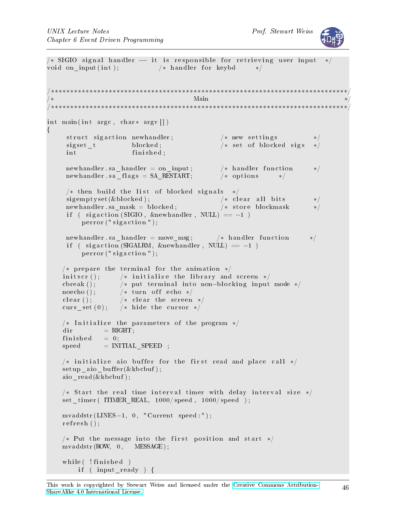UNIX Lecture Notes Chapter 6 Event Driven Programming



```
/* SIGIO signal handler -- it is responsible for retrieving user input */
void on input ( int ); /* h and ler f or keybd *//∗∗∗∗∗∗∗∗∗∗∗∗∗∗∗∗∗∗∗∗∗∗∗∗∗∗∗∗∗∗∗∗∗∗∗∗∗∗∗∗∗∗∗∗∗∗∗∗∗∗∗∗∗∗∗∗∗∗∗∗∗∗∗∗∗∗∗∗∗∗∗∗∗∗∗∗∗/
\rightarrow Main ∗/
/∗∗∗∗∗∗∗∗∗∗∗∗∗∗∗∗∗∗∗∗∗∗∗∗∗∗∗∗∗∗∗∗∗∗∗∗∗∗∗∗∗∗∗∗∗∗∗∗∗∗∗∗∗∗∗∗∗∗∗∗∗∗∗∗∗∗∗∗∗∗∗∗∗∗∗∗∗/
int main (int argc, char * argv \vert \vert)
{
     struct sigaction newhandler; /* new settings
     sigset_t blocked; /* set of blocked sigs
     int finished;
     newhandler : sa\_handler = on\_input ; /* handler function */
    newhandler sa flags = SA RESTART; /* options *//* then build the list of blocked signals */
     sigemptyset (& blocked); \frac{1}{2} /* clear all bits
    newhandler : sa\_mask = blocked ; /* store blockmask */
     if ( sigaction (SIGIO, &newhandler, NULL) = -1 )
        perror ("sigaction");
     newhandler . sa_handler = move_msg; /* handler function */if ( sigaction (SIGALRM, \&newhandler, NULL) = -1 )
        perror("sigmoid");
    /* prepare the terminal for the animation */
    initscr (); \sqrt{\frac{1}{\pi}} initialize the library and screen */
    cbreak (); /* put terminal into non-blocking input mode */noecho (); /* turn off echo */
    clear (); \overline{\qquad} /* clear the screen */
    curs set ( 0 ); /* hide the cursor */
    /* Initialize the parameters of the program */
    \text{dir} = RIGHT;
    finished = 0;
    speed = INTIAL SPEED ;/* initialize aio buffer for the first read and place call */setup aio buffer (kkbcbuf);
    aio \text{read}(\&\text{kbcbuf});
    /* Start the real time interval timer with delay interval size */
    set timer ( ITIMER REAL, 1000/\text{speed} , 1000/\text{speed} );
    mvaddstr (LINES−1, 0 , " Current speed : " ) ;
    refresh();
    /* Put the message into the first position and start */m\nu \text{addstr}(\text{ROW}, 0, \text{MESSAGE});while ( !finished )
        if ( input_ready ) {
```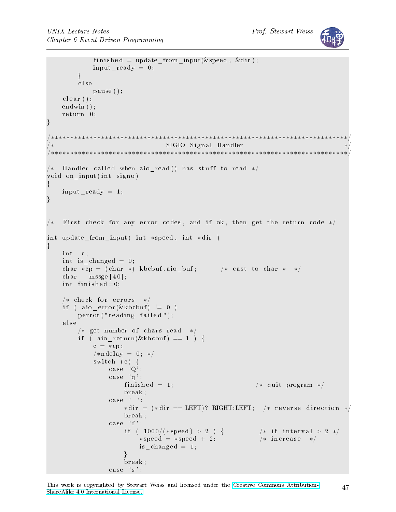```
finished = update from input(&speed, &dir);
             input ready = 0;
         }
         e l s e
             pause ( ) ;
    \text{clear}();
    endwin ( ) ;
    r et urn 0;
}
                         /∗∗∗∗∗∗∗∗∗∗∗∗∗∗∗∗∗∗∗∗∗∗∗∗∗∗∗∗∗∗∗∗∗∗∗∗∗∗∗∗∗∗∗∗∗∗∗∗∗∗∗∗∗∗∗∗∗∗∗∗∗∗∗∗∗∗∗∗∗∗∗∗∗∗∗∗∗/
                                  SIGIO Signal Handler
                        /∗∗∗∗∗∗∗∗∗∗∗∗∗∗∗∗∗∗∗∗∗∗∗∗∗∗∗∗∗∗∗∗∗∗∗∗∗∗∗∗∗∗∗∗∗∗∗∗∗∗∗∗∗∗∗∗∗∗∗∗∗∗∗∗∗∗∗∗∗∗∗∗∗∗∗∗∗/
/* Handler called when aio read () has stuff to read */void on input ( int signo )
{
    input ready = 1;
}
/* First check for any error codes, and if ok, then get the return code */
int update_from_input ( int *speed, int *dir )
\{int c;
    int is changed = 0;
    char *cp = (char *) kbcbuf aio buf ; /* cast to char * */
    char mssge [40];
    int finished =0;
    /* check for errors */if ( aio error (kkbcbuf) != 0 )
        perror ("reading failed");
    e l s e
         /* get number of chars read */
         if ( aio return (&kbcbuf ) == 1 ) {
             c = *cp;
             /*ndelay = 0; */switch (c) {
                 \cos e 'Q':
                  case 'q':
                      finished = 1; /* quit program */break ;
                  case ' ':
                      * \text{dir} = (*dir = LEFT)? RIGHT:LEFT; /* reverse direction */
                      break ;
                  case 'f':
                      if ( 1000/ (*speed) > 2 ) { / if interval > 2 */
                          *speed = *speed + 2; /* increase */
                          is changed = 1;
                      }
                      break ;
                  case 's':
```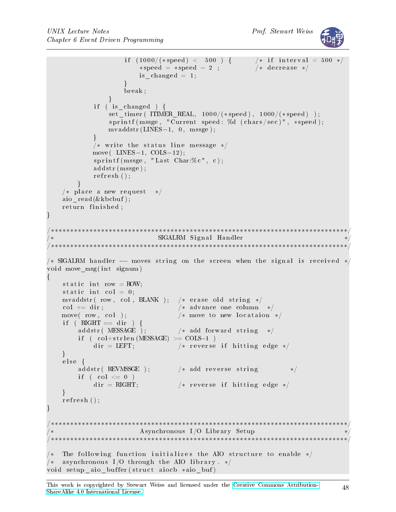

```
if (1000/(*speed) < 500) { /* if interval < 500 */
                            *speed = *speed - 2 ; /* decrease */
                           is changed = 1;
                       }
                       break ;
                   }
              if ( is changed ) \{set timer ( ITIMER REAL, 1000 / (* \text{speed}) , 1000 / (* \text{speed}) );
                  sprintf (mssge, "Current speed: %d (chars/sec)", *speed);
                  m\nu = d\,str(LINES-1, 0, msge);}
              /* write the status line message */
             move(LINES-1, COLS-12);
              sprint f (mssge, "Last Char: %c", c);ad dstr (mssge);refresh();
         }
    /* place a new request */aio \text{read} (\& \text{kbc} \text{buf});
    return finished;
}
                              /∗∗∗∗∗∗∗∗∗∗∗∗∗∗∗∗∗∗∗∗∗∗∗∗∗∗∗∗∗∗∗∗∗∗∗∗∗∗∗∗∗∗∗∗∗∗∗∗∗∗∗∗∗∗∗∗∗∗∗∗∗∗∗∗∗∗∗∗∗∗∗∗∗∗∗∗∗/
                                 SIGALRM Signal Handler
                            /∗∗∗∗∗∗∗∗∗∗∗∗∗∗∗∗∗∗∗∗∗∗∗∗∗∗∗∗∗∗∗∗∗∗∗∗∗∗∗∗∗∗∗∗∗∗∗∗∗∗∗∗∗∗∗∗∗∗∗∗∗∗∗∗∗∗∗∗∗∗∗∗∗∗∗∗∗/
/* SIGALRM handler −− moves string on the screen when the signal is received */
void move msg ( int signum )
{
    static int row = ROW;
    static int col = 0;
    mvaddstr (row, col, BLANK ); /* erase old string */
    col += dir; \sqrt{\frac{4}{\pi}} /* advance one column */
    move (row, col); /* move to new locataion */if ( RIGHT = dir ) {
         {\rm addstr}\,(\begin{array}{c} {\rm MESSAGE} \end{array}); /* add forward string */
         if (col+strlen(MESSAGE) >= COLS-1)dir = LEFT; /* reverse if hitting edge */}
    else \{addstr( REVMSSGE ); /* add reverse string */
         if ( col \le 0 )
              dir = RIGHT; /* reverse if hitting edge */}
    r \, \text{eff} \, \text{r} \, \text{sh} \, ( );
}
                           /∗∗∗∗∗∗∗∗∗∗∗∗∗∗∗∗∗∗∗∗∗∗∗∗∗∗∗∗∗∗∗∗∗∗∗∗∗∗∗∗∗∗∗∗∗∗∗∗∗∗∗∗∗∗∗∗∗∗∗∗∗∗∗∗∗∗∗∗∗∗∗∗∗∗∗∗∗/
                           Asynchronous I/O Library Setup
/∗∗∗∗∗∗∗∗∗∗∗∗∗∗∗∗∗∗∗∗∗∗∗∗∗∗∗∗∗∗∗∗∗∗∗∗∗∗∗∗∗∗∗∗∗∗∗∗∗∗∗∗∗∗∗∗∗∗∗∗∗∗∗∗∗∗∗∗∗∗∗∗∗∗∗∗∗/
/* The following function initializes the AIO structure to enable */
/* asynchronous I/O through the AIO library. */void setup aio buffer ( struct aiocb * aio buf )
```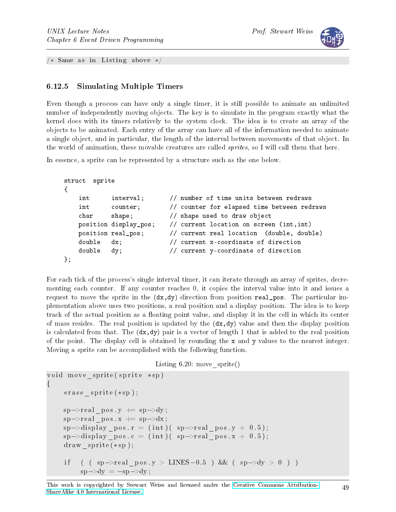

/\* Same as in Listing above \*/

#### 6.12.5 Simulating Multiple Timers

Even though a process can have only a single timer, it is still possible to animate an unlimited number of independently moving objects. The key is to simulate in the program exactly what the kernel does with its timers relatively to the system clock. The idea is to create an array of the objects to be animated. Each entry of the array can have all of the information needed to animate a single object, and in particular, the length of the interval between movements of that object. In the world of animation, these movable creatures are called sprites, so I will call them that here.

In essence, a sprite can be represented by a structure such as the one below.

```
struct sprite
{
   int interval; // number of time units between redraws
   int counter; // counter for elapsed time between redraws
   char shape; // shape used to draw object
   position display_pos; // current location on screen (int,int)
   position real_pos; // current real location (double, double)
   double dx; // current x-coordinate of direction
   double dy; // current y-coordinate of direction
};
```
For each tick of the process's single interval timer, it can iterate through an array of sprites, decrementing each counter. If any counter reaches 0, it copies the interval value into it and issues a request to move the sprite in the  $(dx, dy)$  direction from position real pos. The particular implementation above uses two positions, a real position and a display position. The idea is to keep track of the actual position as a floating point value, and display it in the cell in which its center of mass resides. The real position is updated by the  $(dx, dy)$  value and then the display position is calculated from that. The  $(dx, dy)$  pair is a vector of length 1 that is added to the real position of the point. The display cell is obtained by rounding the x and y values to the nearest integer. Moving a sprite can be accomplished with the following function.

Listing 6.20: move\_sprite()

```
void move sprite ( sprite ∗ sp )
{
     erase \text{sprite}(*\text{sp});
     sp\rightarrowreal pos y \mp sp\rightarrowdy;
     sp \rightarrow real \ pos x += sp \rightarrow dx ;sp\rightarrowdisplay pos r = (int) (s p \rightarrow real pos y + 0.5);
     sp \rightarrow display_pos.c = (int)(sp \rightarrow real_pos.x + 0.5);draw sprite (* sp);
     if ( ( sp->real pos y > LINES-0.5 ) && ( sp->dy > 0 ) )
           sp \rightarrow dy = -sp \rightarrow dy;
```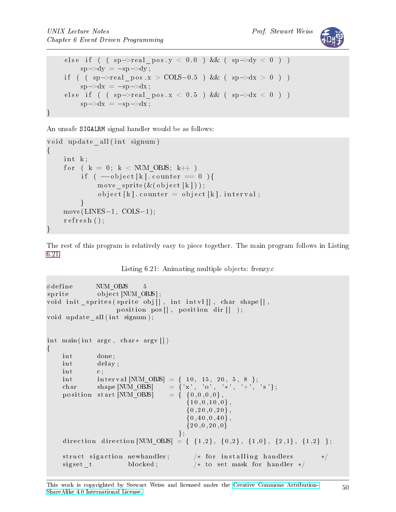}



```
else if ( ( sp->real pos y < 0.0 ) && ( sp->dy < 0 ) )
     sp \rightarrow dy = -sp \rightarrow dy;
if ( (sp \rightarrow real pos.x > COLS-0.5) && (sp \rightarrow dx > 0 ) )
     sp \rightarrow dx = -sp \rightarrow dx;
else if ( ( sp->real_pos x < 0.5 ) && ( sp->dx < 0 ) )
     sp \rightarrow dx = -sp \rightarrow dx;
```
An unsafe SIGALRM signal handler would be as follows:

```
void update_all(int signum)
\{int k;
     for ( k = 0; k < NUM OBJS; k++ )
          if (-\text{-} \text{object} [k] \cdot \text{counter} = 0)move \text{sprite}(\&(\text{object } [k] ));
               object [k]. counter = object [k]. interval;
          }
     move (LINES-1, COLS-1);refresh();
}
```
<span id="page-49-0"></span>The rest of this program is relatively easy to piece together. The main program follows in Listing [6.21.](#page-49-0)

Listing 6.21: Animating multiple objects: frenzy.c

```
\#\text{define} NUM_OBJS 5
s p r i t e o bject [NUM_OBJS];
void init sprites (sprite obj[], int intvl[], char shape [],
                  position pos [], position dir []);
void update all (int signum );int main (int argc, char * argv \vert\vert)
\mathcal{L}int done;
    int delay;
    int c;
    int interval [NUM_OBJS] = { 10, 15, 20, 5, 8 };
    char shape [NUM_OBJS] = {'x', 'o', '*', '+', 's' };
    position start [NUM_OBJS] = { { 0, 0, 0, 0 },
                                     \{10, 0, 10, 0\},\\{0, 20, 0, 20\},\\{0, 40, 0, 40\},\\{20, 0, 20, 0\}\};
    direction direction [NUM_OBJS] = { \{1, 2\}, \{0, 2\}, \{1, 0\}, \{2, 1\}, \{1, 2\} };
    struct sigaction newhandler; /* for installing handlers */sigset_t blocked; /* to set mask for handler */
```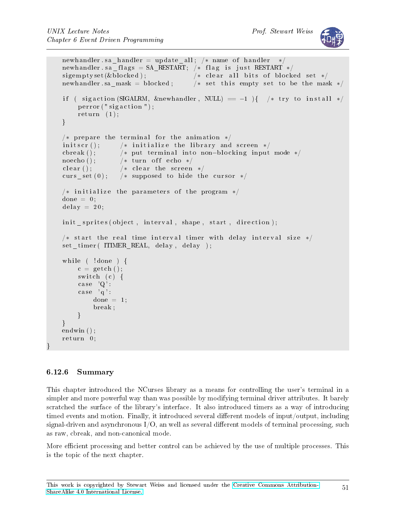

```
newhandler sa handler = update all ; /* name of handler */
newhandler sa flags = SA RESTART; /* flag is just RESTART */
sigemptyset (& blocked); \frac{1}{2} clear all bits of blocked set \frac{*}{2}newhandler sa mask = blocked; /* set this empty set to be the mask */if ( sigaction (SIGALRM, &newhandler, NULL) == -1 ){ /* try to install */
    perror("sigmoid");
    return (1);}
/* prepare the terminal for the animation */
initscr (); \sqrt{\frac{1}{\pi}} initialize the library and screen */cbreak (); /* put terminal into non-blocking input mode */noecho (); /* turn off echo */clear (); /* clear the screen */curs set ( 0 ); /* supposed to hide the cursor *//* initialize the parameters of the program */
done = 0;delay = 20;init sprites ( object, interval, shape, start, direction );
/* start the real time interval timer with delay interval size */
set timer ( ITIMER REAL, delay, delay );
while ( ! done ) {
    c = getch();switch (c) {
    case 'Q':case 'q':
        done = 1;
        break ;
    }
}
endwin ( ) ;
r et urn 0;
```
#### 6.12.6 Summary

}

This chapter introduced the NCurses library as a means for controlling the user's terminal in a simpler and more powerful way than was possible by modifying terminal driver attributes. It barely scratched the surface of the library's interface. It also introduced timers as a way of introducing timed events and motion. Finally, it introduced several different models of input/output, including signal-driven and asynchronous  $I/O$ , an well as several different models of terminal processing, such as raw, cbreak, and non-canonical mode.

More efficient processing and better control can be achieved by the use of multiple processes. This is the topic of the next chapter.